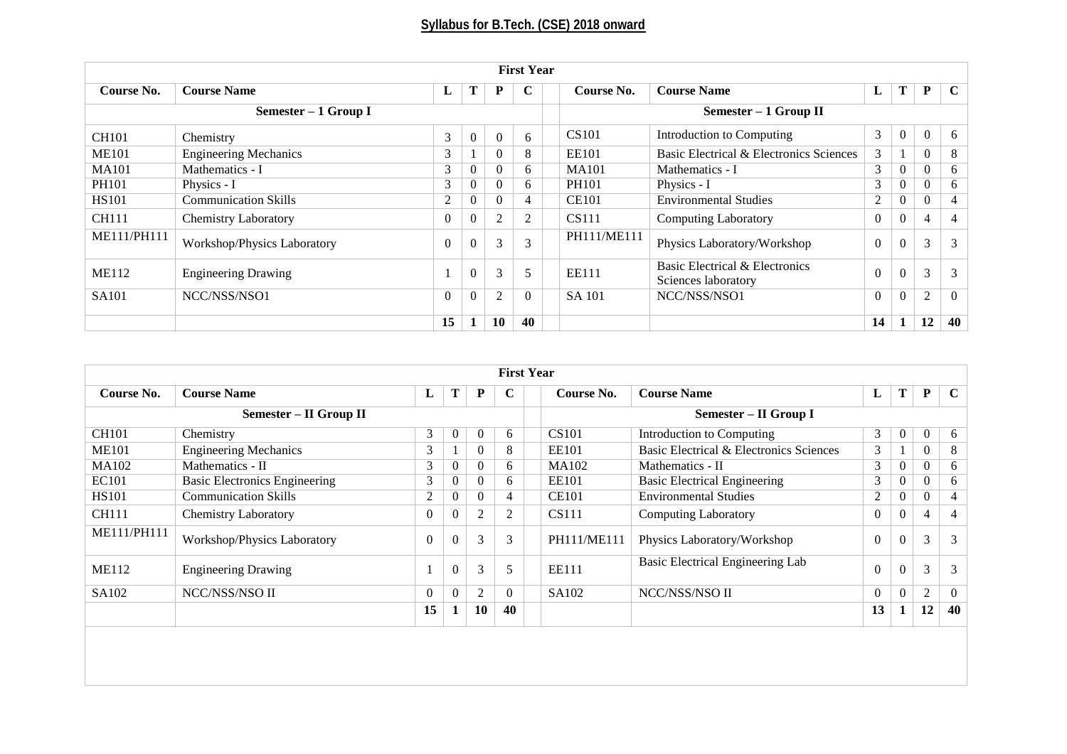|              | <b>First Year</b>            |                       |                |                  |                |                                                 |                                                       |          |                |                |                |
|--------------|------------------------------|-----------------------|----------------|------------------|----------------|-------------------------------------------------|-------------------------------------------------------|----------|----------------|----------------|----------------|
| Course No.   | <b>Course Name</b>           |                       | Т              | P                | C              | T<br>P<br><b>Course Name</b><br>Course No.<br>L |                                                       |          |                |                |                |
|              | Semester $-1$ Group I        | Semester - 1 Group II |                |                  |                |                                                 |                                                       |          |                |                |                |
| <b>CH101</b> | Chemistry                    | 3                     | $\overline{0}$ | $\boldsymbol{0}$ | 6              | 3<br><b>CS101</b><br>Introduction to Computing  |                                                       |          | $\overline{0}$ | $\theta$       | 6              |
| <b>ME101</b> | <b>Engineering Mechanics</b> | 3                     |                | $\Omega$         | 8              | <b>EE101</b>                                    | Basic Electrical & Electronics Sciences               | 3        |                | $\Omega$       | 8              |
| <b>MA101</b> | Mathematics - I              | 3 <sup>1</sup>        | $\overline{0}$ | $\Omega$         | 6              | <b>MA101</b>                                    | Mathematics - I                                       |          | $\overline{0}$ | $\theta$       | 6              |
| <b>PH101</b> | Physics - I                  | 3                     | $\Omega$       | $\Omega$         | 6              | <b>PH101</b>                                    | Physics - I                                           |          | $\overline{0}$ | $\Omega$       | 6              |
| <b>HS101</b> | <b>Communication Skills</b>  | 2                     | 0              | $\Omega$         | $\overline{4}$ | <b>CE101</b>                                    | <b>Environmental Studies</b>                          |          | $\overline{0}$ | $\Omega$       | $\overline{4}$ |
| <b>CH111</b> | <b>Chemistry Laboratory</b>  | $\theta$              | $\overline{0}$ | $\overline{2}$   | $\overline{2}$ | <b>CS111</b>                                    | <b>Computing Laboratory</b>                           |          | $\overline{0}$ | 4              | 4              |
| ME111/PH111  | Workshop/Physics Laboratory  | $\Omega$              | $\Omega$       | 3                | 3              | PH111/ME111                                     | Physics Laboratory/Workshop                           | $\Omega$ | $\overline{0}$ | 3              | 3              |
| <b>ME112</b> | <b>Engineering Drawing</b>   |                       | $\mathbf{0}$   | 3                | 5              | <b>EE111</b>                                    | Basic Electrical & Electronics<br>Sciences laboratory | $\theta$ | $\overline{0}$ | 3              | 3              |
| <b>SA101</b> | NCC/NSS/NSO1                 | $\Omega$              | $\overline{0}$ | 2                | $\Omega$       | NCC/NSS/NSO1<br><b>SA 101</b>                   |                                                       | $\Omega$ | $\overline{0}$ | $\overline{2}$ | $\theta$       |
|              |                              | 15                    | $\bf{L}$       | 10               | 40             |                                                 |                                                       | 14       |                | 12             | 40             |

| <b>First Year</b> |                                      |                |                |                |                |                                       |              |                                         |                |                  |                |                |
|-------------------|--------------------------------------|----------------|----------------|----------------|----------------|---------------------------------------|--------------|-----------------------------------------|----------------|------------------|----------------|----------------|
| Course No.        | <b>Course Name</b>                   | L              | Т              | $\mathbf P$    | C              | <b>Course Name</b><br>Course No.<br>L |              |                                         |                | Т                | P              | $\mathbf C$    |
|                   | Semester – II Group II               |                |                |                |                | Semester - II Group I                 |              |                                         |                |                  |                |                |
| <b>CH101</b>      | Chemistry                            | 3              | $\theta$       | $\mathbf{0}$   | 6              |                                       | <b>CS101</b> | Introduction to Computing               | 3              | $\overline{0}$   | $\overline{0}$ | 6              |
| <b>ME101</b>      | <b>Engineering Mechanics</b>         | 3              |                | $\overline{0}$ | 8              |                                       | EE101        | Basic Electrical & Electronics Sciences | 3              |                  | $\overline{0}$ | 8              |
| <b>MA102</b>      | Mathematics - II                     | 3              | $\theta$       | $\theta$       | 6              |                                       | <b>MA102</b> | Mathematics - II                        | 3              | $\overline{0}$   | $\overline{0}$ | 6              |
| <b>EC101</b>      | <b>Basic Electronics Engineering</b> | 3              | $\theta$       | $\theta$       | 6              |                                       | <b>EE101</b> | <b>Basic Electrical Engineering</b>     | 3              | $\mathbf{0}$     | $\overline{0}$ | 6              |
| <b>HS101</b>      | <b>Communication Skills</b>          | $\mathfrak{2}$ | $\theta$       | $\theta$       | $\overline{4}$ |                                       | <b>CE101</b> | <b>Environmental Studies</b>            | 2              | $\overline{0}$   | $\overline{0}$ | $\overline{4}$ |
| <b>CH111</b>      | <b>Chemistry Laboratory</b>          | $\overline{0}$ | $\theta$       | $\overline{c}$ | $\overline{2}$ |                                       | <b>CS111</b> | <b>Computing Laboratory</b>             | $\Omega$       | $\overline{0}$   | $\overline{4}$ | $\overline{4}$ |
| ME111/PH111       | Workshop/Physics Laboratory          | $\Omega$       |                | 3              | 3              |                                       | PH111/ME111  | Physics Laboratory/Workshop             | $\theta$       | $\Omega$         | 3              | 3              |
| <b>ME112</b>      | <b>Engineering Drawing</b>           |                | $\overline{0}$ | 3              | 5              |                                       | EE111        | Basic Electrical Engineering Lab        | $\overline{0}$ | $\boldsymbol{0}$ | 3              | 3              |
| SA102             | NCC/NSS/NSO II                       | $\theta$       | $\theta$       | $\overline{2}$ | $\theta$       |                                       | SA102        | NCC/NSS/NSO II                          | $\theta$       | $\boldsymbol{0}$ | $\mathbf{2}$   | $\theta$       |
|                   |                                      | 15             | 1              | 10             | 40             |                                       |              |                                         | 13             | 1                | 12             | 40             |
|                   |                                      |                |                |                |                |                                       |              |                                         |                |                  |                |                |
|                   |                                      |                |                |                |                |                                       |              |                                         |                |                  |                |                |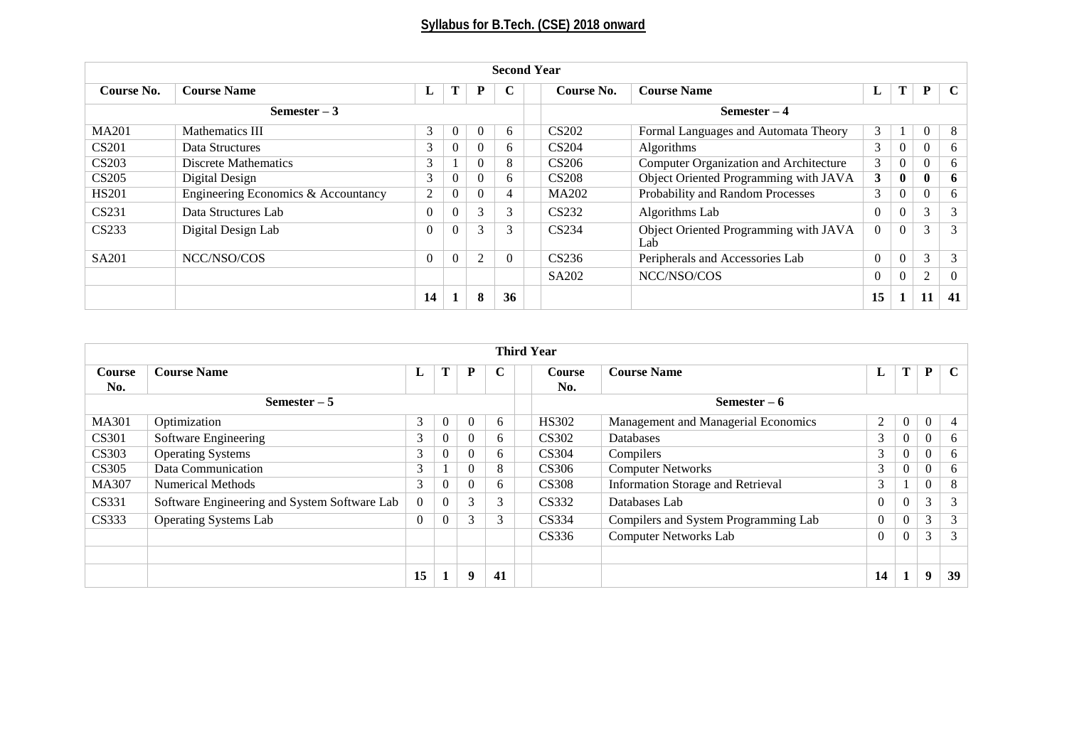| <b>Second Year</b> |                                     |                |          |                |                                                           |                                                       |                                        |                |              |                |          |  |
|--------------------|-------------------------------------|----------------|----------|----------------|-----------------------------------------------------------|-------------------------------------------------------|----------------------------------------|----------------|--------------|----------------|----------|--|
| Course No.         | <b>Course Name</b>                  | L              | Т        | P              | Т<br>⌒<br>P<br><b>Course Name</b><br>Course No.<br>L<br>∪ |                                                       |                                        |                |              |                |          |  |
| Semester $-3$      |                                     |                |          |                |                                                           |                                                       | $Semester-4$                           |                |              |                |          |  |
| <b>MA201</b>       | Mathematics III                     | 3              | $\theta$ | $\Omega$       | 6                                                         | <b>CS202</b>                                          | Formal Languages and Automata Theory   | 3              | $\perp$      | $\overline{0}$ | 8        |  |
| <b>CS201</b>       | Data Structures                     | 3              | $\Omega$ | $\Omega$       | 6                                                         | <b>CS204</b>                                          | <b>Algorithms</b>                      | 3              | $\mathbf{0}$ | $\overline{0}$ | 6        |  |
| <b>CS203</b>       | <b>Discrete Mathematics</b>         | 3              |          | U              | 8                                                         | CS <sub>206</sub>                                     | Computer Organization and Architecture |                | $\mathbf{0}$ | $\Omega$       | 6        |  |
| <b>CS205</b>       | Digital Design                      | 3              | 0        | U              | 6                                                         | <b>CS208</b>                                          | Object Oriented Programming with JAVA  |                | $\bf{0}$     | $\bf{0}$       | 6        |  |
| <b>HS201</b>       | Engineering Economics & Accountancy | $\overline{2}$ | $\Omega$ | $\Omega$       | 4                                                         | MA202                                                 | Probability and Random Processes       |                | $\mathbf{0}$ | $\theta$       | 6        |  |
| CS231              | Data Structures Lab                 | $\theta$       | $\theta$ | 3              | 3                                                         | CS232                                                 | Algorithms Lab                         | $\overline{0}$ | $\theta$     | 3              | 3        |  |
| CS233              | Digital Design Lab                  | $\Omega$       | $\theta$ | 3              | 3                                                         | CS234<br>Object Oriented Programming with JAVA<br>Lab |                                        | $\overline{0}$ | $\theta$     | 3              | 3        |  |
| SA201              | NCC/NSO/COS                         | $\Omega$       | $\Omega$ | $\overline{2}$ | $\Omega$                                                  | CS236<br>Peripherals and Accessories Lab              |                                        | $\overline{0}$ | $\mathbf{0}$ | 3              | 3        |  |
|                    |                                     |                |          |                |                                                           | SA <sub>2</sub> 02<br>NCC/NSO/COS                     |                                        | $\overline{0}$ | $\mathbf{0}$ | 2              | $\Omega$ |  |
|                    |                                     | 14             |          | 8              | 36                                                        |                                                       |                                        | 15             | 1            | 11             | 41       |  |

|                                                                                         |                                              |          |                |               |    |  | <b>Third Year</b> |                                      |                |                |                |             |
|-----------------------------------------------------------------------------------------|----------------------------------------------|----------|----------------|---------------|----|--|-------------------|--------------------------------------|----------------|----------------|----------------|-------------|
| Т<br>C<br><b>Course Name</b><br>L<br>P<br>Course<br><b>Course Name</b><br><b>Course</b> |                                              |          |                |               |    |  |                   |                                      | L              | Т              | P              | $\mathbf C$ |
| No.                                                                                     |                                              |          |                |               |    |  | No.               |                                      |                |                |                |             |
|                                                                                         | Semester $-5$                                |          |                |               |    |  |                   | Semester $-6$                        |                |                |                |             |
| <b>MA301</b>                                                                            | Optimization                                 | 3        | $\overline{0}$ | $\theta$      | 6  |  | <b>HS302</b>      | Management and Managerial Economics  | 2              | $\overline{0}$ | $\overline{0}$ | 4           |
| <b>CS301</b>                                                                            | Software Engineering                         | 3        | $\theta$       |               | 6  |  | CS302             | <b>Databases</b>                     | 3              | $\overline{0}$ | $\overline{0}$ | 6.          |
| <b>CS303</b>                                                                            | Operating Systems                            | 3        | $\theta$       | $\Omega$      | 6  |  | CS304             | Compilers                            | 3              | $\theta$       | $\Omega$       | 6           |
| <b>CS305</b>                                                                            | Data Communication                           | 3        |                |               | 8  |  | <b>CS306</b>      | <b>Computer Networks</b>             | 3              | $\overline{0}$ | $\theta$       | 6           |
| <b>MA307</b>                                                                            | <b>Numerical Methods</b>                     | 3        | $\mathbf{0}$   |               | 6  |  | <b>CS308</b>      | Information Storage and Retrieval    | 3              |                | $\theta$       | 8           |
| <b>CS331</b>                                                                            | Software Engineering and System Software Lab | $\theta$ | $\theta$       | 3             | 3  |  | CS332             | Databases Lab                        | $\Omega$       | $\overline{0}$ | 3              | 3           |
| CS333                                                                                   | <b>Operating Systems Lab</b>                 | $\theta$ | $\overline{0}$ | $\mathcal{E}$ | 3  |  | CS334             | Compilers and System Programming Lab | $\overline{0}$ | $\overline{0}$ | 3              | 3           |
|                                                                                         |                                              |          |                |               |    |  | CS336             | <b>Computer Networks Lab</b>         | $\mathbf{0}$   | $\overline{0}$ | 3              | 3           |
|                                                                                         |                                              |          |                |               |    |  |                   |                                      |                |                |                |             |
|                                                                                         |                                              | 15       |                | 9             | 41 |  |                   |                                      | 14             |                | 9              | 39          |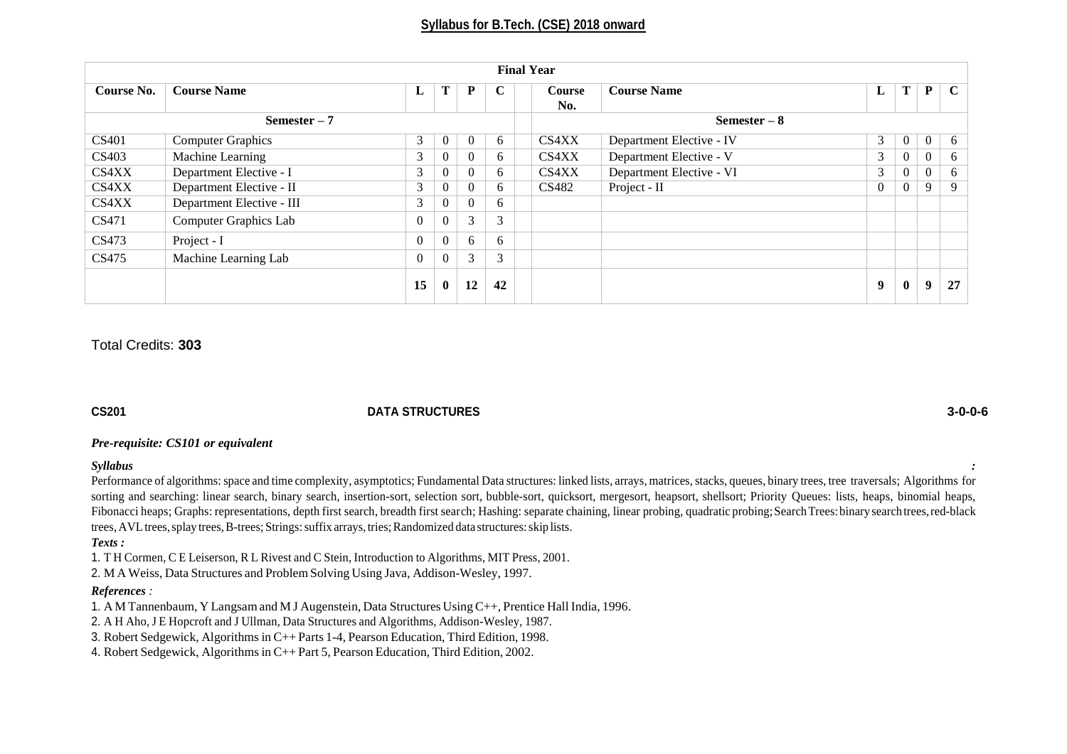|               |                              |                |                |          |             | <b>Final Year</b> |                          |                |                  |                  |             |
|---------------|------------------------------|----------------|----------------|----------|-------------|-------------------|--------------------------|----------------|------------------|------------------|-------------|
| Course No.    | <b>Course Name</b>           | L              | T              | P        | $\mathbf C$ | Course<br>No.     | <b>Course Name</b>       | L              | Т                | P                | $\mathbf C$ |
| Semester $-7$ |                              |                |                |          |             |                   | Semester $-8$            |                |                  |                  |             |
| CS401         | <b>Computer Graphics</b>     | 3              | $\overline{0}$ | $\theta$ | 6           | CS4XX             | Department Elective - IV | 3              | $\overline{0}$   | $\overline{0}$   | 6           |
| CS403         | Machine Learning             | 3              | $\overline{0}$ | $\Omega$ | 6           | CS4XX             | Department Elective - V  | 3              | $\boldsymbol{0}$ | $\boldsymbol{0}$ | 6           |
| CS4XX         | Department Elective - I      | 3              | $\Omega$       | $\Omega$ | 6           | CS4XX             | Department Elective - VI | 3              | $\mathbf{0}$     | $\boldsymbol{0}$ | 6           |
| CS4XX         | Department Elective - II     | 3              | $\overline{0}$ | $\theta$ | 6           | CS482             | Project - II             | $\overline{0}$ | $\overline{0}$   | 9                | 9           |
| CS4XX         | Department Elective - III    | 3              | $\theta$       | $\Omega$ | 6           |                   |                          |                |                  |                  |             |
| CS471         | <b>Computer Graphics Lab</b> | $\theta$       | $\Omega$       | 3        | 3           |                   |                          |                |                  |                  |             |
| CS473         | Project - I                  | $\mathbf{0}$   | $\overline{0}$ | 6        | 6           |                   |                          |                |                  |                  |             |
| CS475         | Machine Learning Lab         | $\overline{0}$ | $\Omega$       | 3        | 3           |                   |                          |                |                  |                  |             |
|               |                              | 15             | $\bf{0}$       | 12       | 42          |                   |                          | 9              | $\bf{0}$         | 9                | 27          |

# Total Credits: **303**

#### **CS201 DATA STRUCTURES 3-0-0-6**

### *Pre-requisite: CS101 or equivalent*

#### *Syllabus :*

Performance of algorithms: space and time complexity, asymptotics; Fundamental Data structures: linked lists, arrays, matrices, stacks, queues, binary trees, tree traversals; Algorithms for sorting and searching: linear search, binary search, insertion-sort, selection sort, bubble-sort, quicksort, mergesort, heapsort, shellsort; Priority Queues: lists, heaps, binomial heaps, Fibonacci heaps; Graphs: representations, depth first search, breadth first search; Hashing: separate chaining, linear probing, quadratic probing; Search Trees: binary search trees, red-black trees, AVL trees, splay trees, B-trees; Strings: suffix arrays, tries; Randomized data structures: skip lists.

*Texts :*

1. T H Cormen, C E Leiserson, R L Rivest and C Stein, Introduction to Algorithms, MIT Press, 2001.

2. M A Weiss, Data Structures and Problem Solving Using Java, Addison-Wesley, 1997.

### *References :*

1. A M Tannenbaum, Y Langsam and M J Augenstein, Data Structures UsingC++, Prentice Hall India, 1996.

2. A H Aho, J E Hopcroft and J Ullman, Data Structures and Algorithms, Addison-Wesley, 1987.

3. Robert Sedgewick, Algorithms in C++ Parts 1-4, Pearson Education, Third Edition, 1998.

4. Robert Sedgewick, Algorithmsin C++ Part 5, Pearson Education, Third Edition, 2002.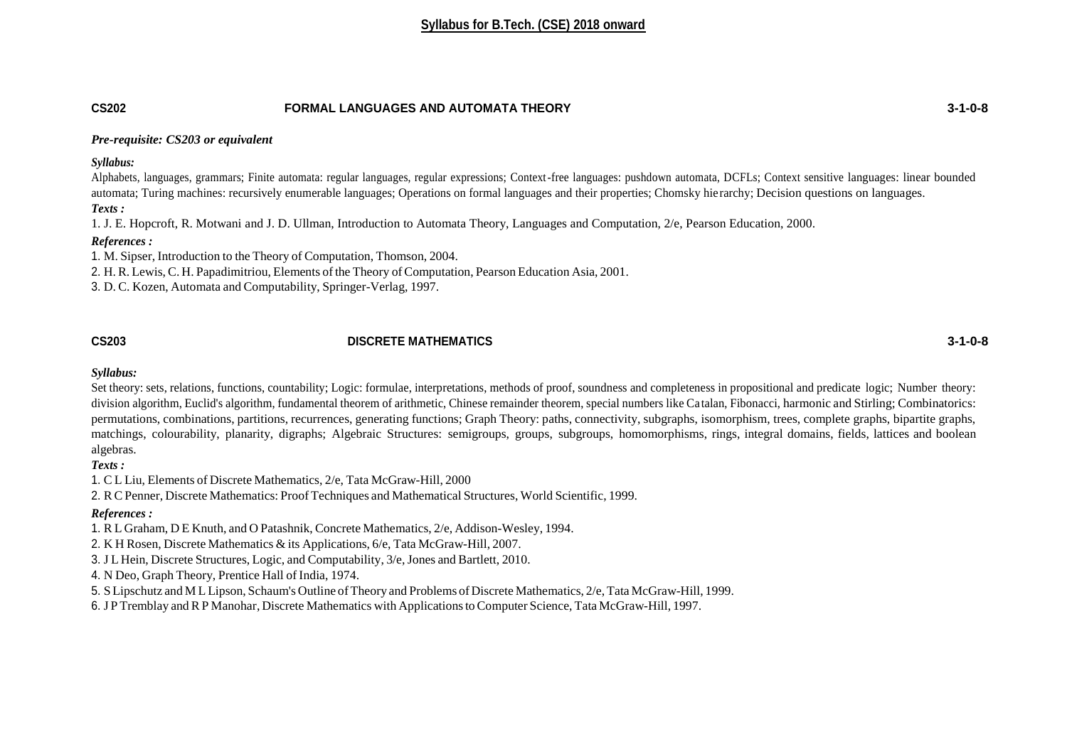### **CS202 FORMAL LANGUAGES AND AUTOMATA THEORY 3-1-0-8**

#### *Pre-requisite: CS203 or equivalent*

*Syllabus:*

Alphabets, languages, grammars; Finite automata: regular languages, regular expressions; Context-free languages: pushdown automata, DCFLs; Context sensitive languages: linear bounded automata; Turing machines: recursively enumerable languages; Operations on formal languages and their properties; Chomsky hierarchy; Decision questions on languages. *Texts :*

1. J. E. Hopcroft, R. Motwani and J. D. Ullman, Introduction to Automata Theory, Languages and Computation, 2/e, Pearson Education, 2000.

#### *References :*

1. M. Sipser, Introduction to the Theory of Computation, Thomson, 2004.

2. H. R. Lewis, C. H. Papadimitriou, Elements of the Theory of Computation, Pearson Education Asia, 2001.

3. D. C. Kozen, Automata and Computability, Springer-Verlag, 1997.

### **CS203 DISCRETE MATHEMATICS 3-1-0-8**

#### *Syllabus:*

Set theory: sets, relations, functions, countability; Logic: formulae, interpretations, methods of proof, soundness and completeness in propositional and predicate logic; Number theory: division algorithm, Euclid's algorithm, fundamental theorem of arithmetic, Chinese remainder theorem, special numbers like Ca talan, Fibonacci, harmonic and Stirling; Combinatorics: permutations, combinations, partitions, recurrences, generating functions; Graph Theory: paths, connectivity, subgraphs, isomorphism, trees, complete graphs, bipartite graphs, matchings, colourability, planarity, digraphs; Algebraic Structures: semigroups, groups, subgroups, homomorphisms, rings, integral domains, fields, lattices and boolean algebras.

*Texts :*

1. C L Liu, Elements of Discrete Mathematics, 2/e, Tata McGraw-Hill, 2000

2. RCPenner, Discrete Mathematics: Proof Techniques and Mathematical Structures, World Scientific, 1999.

### *References :*

1. R L Graham, D E Knuth, and O Patashnik, Concrete Mathematics, 2/e, Addison-Wesley, 1994.

2. K H Rosen, Discrete Mathematics & its Applications, 6/e, Tata McGraw-Hill, 2007.

3. J L Hein, Discrete Structures, Logic, and Computability, 3/e,Jones and Bartlett, 2010.

4. N Deo, Graph Theory, Prentice Hall of India, 1974.

5. S Lipschutz and M L Lipson, Schaum's Outline ofTheory and Problems of Discrete Mathematics, 2/e, Tata McGraw-Hill, 1999.

6. J P Tremblay and RP Manohar, Discrete Mathematics with ApplicationstoComputer Science, Tata McGraw-Hill, 1997.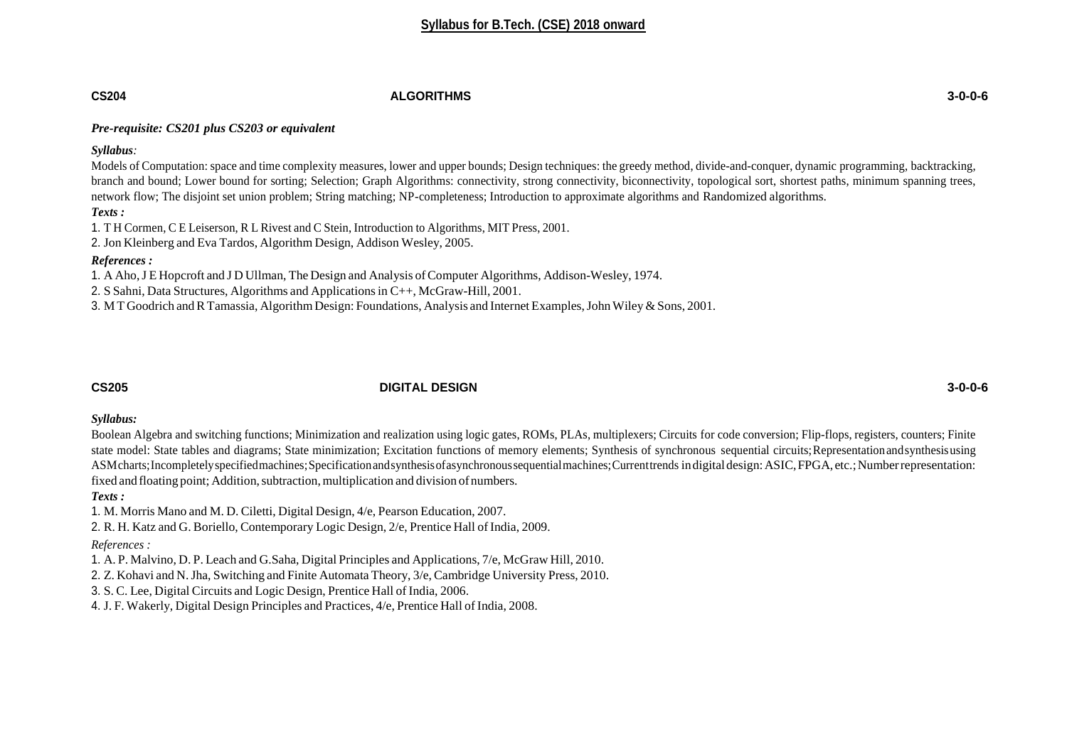### **CS204 ALGORITHMS 3-0-0-6**

### *Pre-requisite: CS201 plus CS203 or equivalent*

*Syllabus:*

Models of Computation: space and time complexity measures, lower and upper bounds; Design techniques: the greedy method, divide-and-conquer, dynamic programming, backtracking, branch and bound; Lower bound for sorting; Selection; Graph Algorithms: connectivity, strong connectivity, biconnectivity, topological sort, shortest paths, minimum spanning trees, network flow; The disjoint set union problem; String matching; NP-completeness; Introduction to approximate algorithms and Randomized algorithms.

#### *Texts :*

1. T H Cormen, C E Leiserson, R L Rivest and C Stein, Introduction to Algorithms, MIT Press, 2001.

2. Jon Kleinberg and Eva Tardos, Algorithm Design, Addison Wesley, 2005.

#### *References :*

1. A Aho,J E Hopcroft and J D Ullman, The Design and Analysis ofComputer Algorithms, Addison-Wesley, 1974.

2. S Sahni, Data Structures, Algorithms and Applicationsin C++, McGraw-Hill, 2001.

3. M T Goodrich and R Tamassia, Algorithm Design: Foundations, Analysis and Internet Examples, John Wiley & Sons, 2001.

# **CS205 DIGITAL DESIGN 3-0-0-6**

#### *Syllabus:*

Boolean Algebra and switching functions; Minimization and realization using logic gates, ROMs, PLAs, multiplexers; Circuits for code conversion; Flip-flops, registers, counters; Finite state model: State tables and diagrams; State minimization; Excitation functions of memory elements; Synthesis of synchronous sequential circuits;Representationandsynthesisusing ASMcharts;Incompletelyspecifiedmachines;Specificationandsynthesisofasynchronoussequentialmachines;Currenttrends indigitaldesign:ASIC,FPGA, etc.;Numberrepresentation: fixed and floating point; Addition, subtraction, multiplication and division of numbers.

### *Texts :*

1. M. Morris Mano and M. D. Ciletti, Digital Design, 4/e, Pearson Education, 2007.

2. R. H. Katz and G. Boriello, Contemporary Logic Design,  $2/e$ , Prentice Hall of India, 2009.

### *References :*

1. A. P. Malvino, D. P. Leach and G.Saha, Digital Principles and Applications, 7/e, McGraw Hill, 2010.

2. Z. Kohavi and N.Jha, Switching and Finite Automata Theory, 3/e, Cambridge University Press, 2010.

3. S. C. Lee, Digital Circuits and Logic Design, Prentice Hall of India, 2006.

4. J. F. Wakerly, Digital Design Principles and Practices,  $4/e$ , Prentice Hall of India, 2008.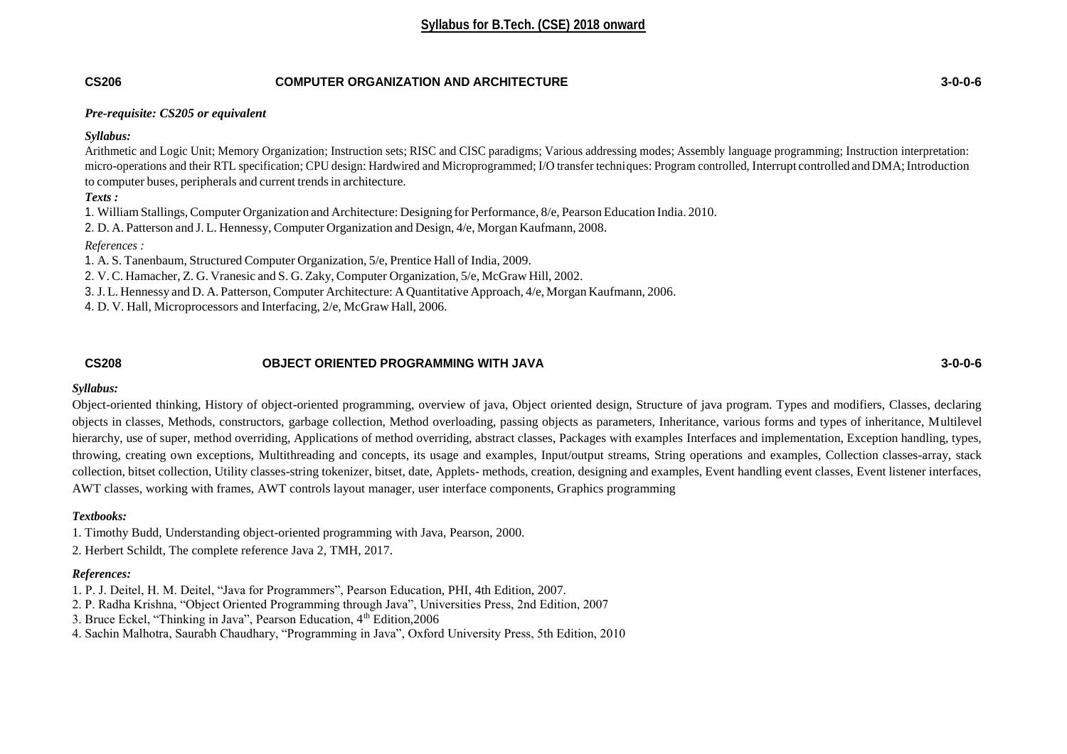# **CS206 COMPUTER ORGANIZATION AND ARCHITECTURE 3-0-0-6**

#### *Pre-requisite: CS205 or equivalent*

*Syllabus:*

Arithmetic and Logic Unit; Memory Organization; Instruction sets; RISC and CISC paradigms; Various addressing modes; Assembly language programming; Instruction interpretation: micro-operations and their RTL specification; CPU design: Hardwired and Microprogrammed; I/O transfer techniques: Program controlled, Interrupt controlled and DMA; Introduction to computer buses, peripherals and current trendsin architecture.

*Texts :*

1. WilliamStallings, Computer Organization and Architecture: Designing for Performance, 8/e, Pearson Education India. 2010.

2. D. A. Patterson and J. L. Hennessy, Computer Organization and Design, 4/e, Morgan Kaufmann, 2008.

*References :*

1. A. S. Tanenbaum, Structured Computer Organization, 5/e, Prentice Hall of India, 2009.

2. V. C. Hamacher, Z. G. Vranesic and S. G. Zaky, Computer Organization, 5/e, McGraw Hill, 2002.

3. J. L. Hennessy and D. A. Patterson, Computer Architecture: A Quantitative Approach, 4/e, Morgan Kaufmann, 2006.

4. D. V. Hall, Microprocessors and Interfacing, 2/e, McGraw Hall, 2006.

# **CS208 OBJECT ORIENTED PROGRAMMING WITH JAVA 3-0-0-6**

### *Syllabus:*

Object-oriented thinking, History of object-oriented programming, overview of java, Object oriented design, Structure of java program. Types and modifiers, Classes, declaring objects in classes, Methods, constructors, garbage collection, Method overloading, passing objects as parameters, Inheritance, various forms and types of inheritance, Multilevel hierarchy, use of super, method overriding, Applications of method overriding, abstract classes, Packages with examples Interfaces and implementation, Exception handling, types, throwing, creating own exceptions, Multithreading and concepts, its usage and examples, Input/output streams, String operations and examples, Collection classes-array, stack collection, bitset collection, Utility classes-string tokenizer, bitset, date, Applets- methods, creation, designing and examples, Event handling event classes, Event listener interfaces, AWT classes, working with frames, AWT controls layout manager, user interface components, Graphics programming

# *Textbooks:*

1. Timothy Budd, Understanding object-oriented programming with Java, Pearson, 2000.

2. Herbert Schildt, The complete reference Java 2, TMH, 2017.

# *References:*

1. P. J. Deitel, H. M. Deitel, "Java for Programmers", Pearson Education, PHI, 4th Edition, 2007.

2. P. Radha Krishna, "Object Oriented Programming through Java", Universities Press, 2nd Edition, 2007

3. Bruce Eckel, "Thinking in Java", Pearson Education, 4<sup>th</sup> Edition, 2006

4. Sachin Malhotra, Saurabh Chaudhary, "Programming in Java", Oxford University Press, 5th Edition, 2010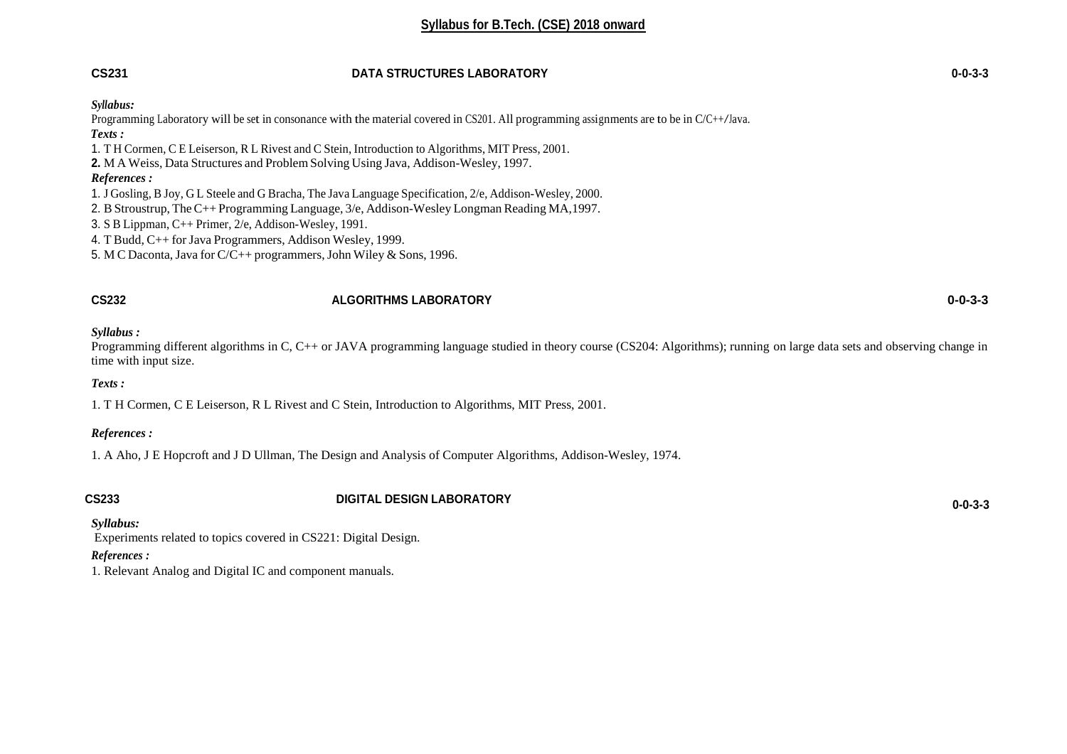# **CS231 DATA STRUCTURES LABORATORY 0-0-3-3**

#### *Syllabus:*

Programming Laboratory will be set in consonance with the material covered in CS201. All programming assignments are to be in C/C++/Java.  *Texts :* 1. T H Cormen, C E Leiserson, R L Rivest and C Stein, Introduction to Algorithms, MIT Press, 2001. **2.** M A Weiss, Data Structures and Problem Solving Using Java, Addison-Wesley, 1997. *References :* 1. J Gosling, B Joy, G L Steele and G Bracha, The Java Language Specification, 2/e, Addison-Wesley, 2000. 2. BStroustrup, TheC++ Programming Language, 3/e, Addison-Wesley Longman Reading MA,1997. 3. S B Lippman, C++ Primer, 2/e, Addison-Wesley, 1991. 4. T Budd, C++ for Java Programmers, Addison Wesley, 1999.

5. M C Daconta,Java for C/C++ programmers,John Wiley & Sons, 1996.

#### **CS232 ALGORITHMS LABORATORY 0-0-3-3**

*Syllabus :*

Programming different algorithms in C, C++ or JAVA programming language studied in theory course (CS204: Algorithms); running on large data sets and observing change in time with input size.

#### *Texts :*

1. T H Cormen, C E Leiserson, R L Rivest and C Stein, Introduction to Algorithms, MIT Press, 2001.

#### *References :*

1. A Aho, J E Hopcroft and J D Ullman, The Design and Analysis of Computer Algorithms, Addison-Wesley, 1974.

# **CS233 DIGITAL DESIGN LABORATORY 0-0-3-3**

*Syllabus:*

Experiments related to topics covered in CS221: Digital Design.

#### *References :*

1. Relevant Analog and Digital IC and component manuals.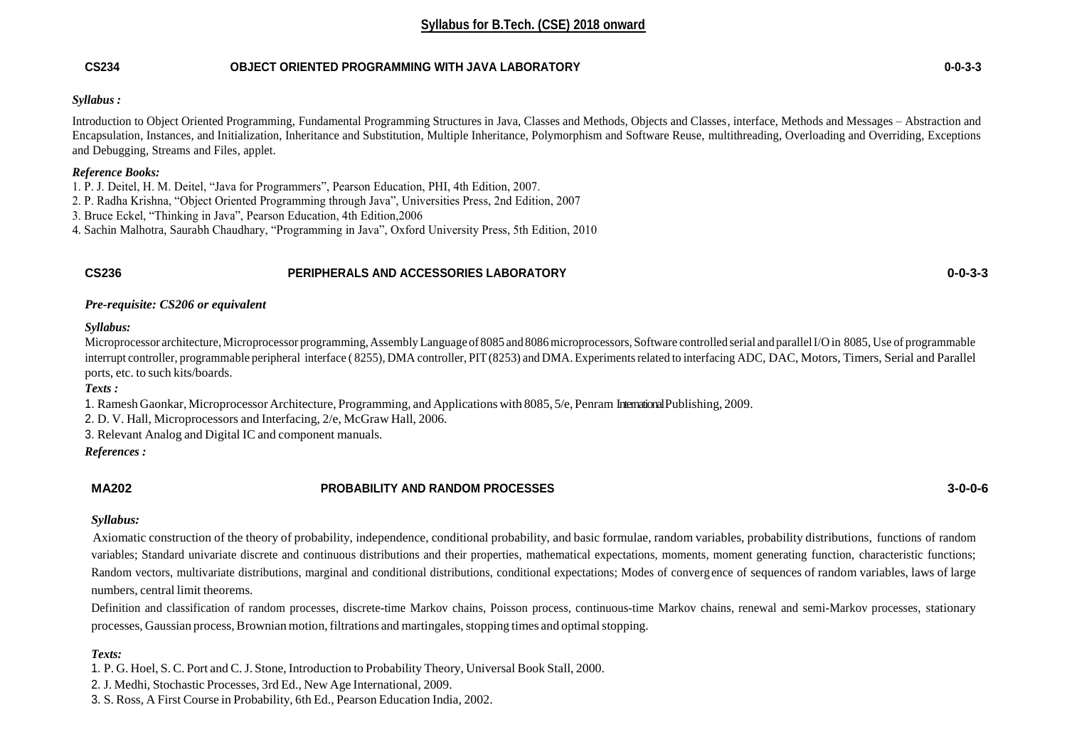### **CS234 OBJECT ORIENTED PROGRAMMING WITH JAVA LABORATORY 0-0-3-3**

#### *Syllabus :*

Introduction to Object Oriented Programming, Fundamental Programming Structures in Java, Classes and Methods, Objects and Classes, interface, Methods and Messages – Abstraction and Encapsulation, Instances, and Initialization, Inheritance and Substitution, Multiple Inheritance, Polymorphism and Software Reuse, multithreading, Overloading and Overriding, Exceptions and Debugging, Streams and Files, applet.

### *Reference Books:*

- 1. P. J. Deitel, H. M. Deitel, "Java for Programmers", Pearson Education, PHI, 4th Edition, 2007.
- 2. P. Radha Krishna, "Object Oriented Programming through Java", Universities Press, 2nd Edition, 2007
- 3. Bruce Eckel, "Thinking in Java", Pearson Education, 4th Edition,2006
- 4. Sachin Malhotra, Saurabh Chaudhary, "Programming in Java", Oxford University Press, 5th Edition, 2010

### **CS236 PERIPHERALS AND ACCESSORIES LABORATORY 0-0-3-3**

*Pre-requisite: CS206 or equivalent*

#### *Syllabus:*

Microprocessor architecture, Microprocessor programming, Assembly Language of 8085 and 8086 microprocessors, Software controlled serial and parallel I/O in 8085, Use of programmable interrupt controller, programmable peripheral interface ( 8255), DMA controller, PIT(8253) and DMA. Experimentsrelated to interfacing ADC, DAC, Motors, Timers, Serial and Parallel ports, etc. to such kits/boards.

*Texts :*

1. Ramesh Gaonkar, Microprocessor Architecture, Programming, and Applications with 8085, 5/e, Penram InternationalPublishing, 2009.

2. D. V. Hall, Microprocessors and Interfacing, 2/e, McGraw Hall, 2006.

3. Relevant Analog and Digital IC and component manuals.

*References :*

# **MA202 PROBABILITY AND RANDOM PROCESSES 3-0-0-6**

#### *Syllabus:*

Axiomatic construction of the theory of probability, independence, conditional probability, and basic formulae, random variables, probability distributions, functions of random variables; Standard univariate discrete and continuous distributions and their properties, mathematical expectations, moments, moment generating function, characteristic functions; Random vectors, multivariate distributions, marginal and conditional distributions, conditional expectations; Modes of converg ence of sequences of random variables, laws of large numbers, central limit theorems.

Definition and classification of random processes, discrete-time Markov chains, Poisson process, continuous-time Markov chains, renewal and semi-Markov processes, stationary processes, Gaussian process, Brownian motion, filtrations and martingales, stopping times and optimal stopping.

# *Texts:*

1. P. G. Hoel, S. C. Port and C.J. Stone, Introduction to Probability Theory, Universal Book Stall, 2000.

2. J. Medhi, Stochastic Processes, 3rd Ed., New Age International, 2009.

3. S. Ross, A First Course in Probability, 6th Ed., Pearson Education India, 2002.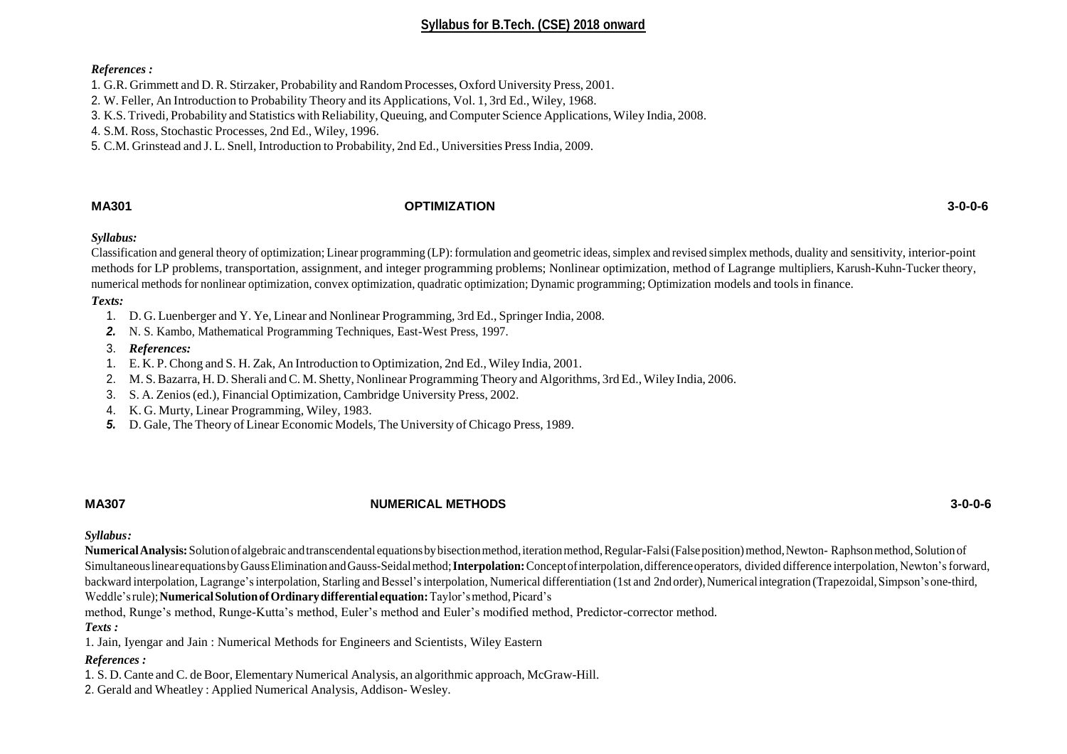#### *References :*

1. G.R. Grimmett and D. R. Stirzaker, Probability and RandomProcesses, Oxford University Press, 2001.

2. W. Feller, An Introduction to Probability Theory and its Applications, Vol. 1, 3rd Ed., Wiley, 1968.

3. K.S. Trivedi, Probability and Statistics withReliability, Queuing, and Computer Science Applications, Wiley India, 2008.

4. S.M. Ross, Stochastic Processes, 2nd Ed., Wiley, 1996.

5. C.M. Grinstead and J. L. Snell, Introduction to Probability, 2nd Ed., Universities Press India, 2009.

# **MA301 OPTIMIZATION 3-0-0-6**

#### *Syllabus:*

Classification and general theory of optimization; Linear programming (LP):formulation and geometric ideas,simplex and revised simplex methods, duality and sensitivity, interior-point methods for LP problems, transportation, assignment, and integer programming problems; Nonlinear optimization, method of Lagrange multipliers, Karush-Kuhn-Tucker theory, numerical methods for nonlinear optimization, convex optimization, quadratic optimization; Dynamic programming; Optimization models and toolsin finance.

#### *Texts:*

- 1. D. G. Luenberger and Y. Ye, Linear and Nonlinear Programming, 3rd Ed., Springer India, 2008.
- *2.* N. S. Kambo, Mathematical Programming Techniques, East-West Press, 1997.
- 3. *References:*
- 1. E. K. P. Chong and S. H. Zak, An Introduction to Optimization, 2nd Ed., Wiley India, 2001.
- 2. M. S. Bazarra, H. D. Sherali and C. M. Shetty, Nonlinear Programming Theory and Algorithms, 3rd Ed., Wiley India, 2006.
- 3. S. A. Zenios(ed.), Financial Optimization, Cambridge University Press, 2002.
- 4. K. G. Murty, Linear Programming, Wiley, 1983.
- *5.* D. Gale, The Theory of Linear Economic Models, The University of Chicago Press, 1989.

### **MA307 NUMERICAL METHODS 3-0-0-6**

*Syllabus:*

**Numerical Analysis:** Solution of algebraic and transcendental equations by bisection method, iteration method, Regular-Falsi (False position) method, Newton- Raphson method, Solution of Simultaneous linearequations by Gauss Elimination and Gauss-Seidal method; **Interpolation**: Concept of interpolation, difference operators, divided difference interpolation, Newton's forward, backward interpolation, Lagrange's interpolation, Starling and Bessel's interpolation, Numerical differentiation (1st and 2nd order), Numerical integration (Trapezoidal, Simpson's one-third,

Weddle'srule);**NumericalSolutionofOrdinarydifferential equation:**Taylor'smethod,Picard's

method, Runge's method, Runge-Kutta's method, Euler's method and Euler's modified method, Predictor-corrector method.

#### *Texts :*

1. Jain, Iyengar and Jain : Numerical Methods for Engineers and Scientists, Wiley Eastern

### *References :*

1. S. D. Cante and C. de Boor, Elementary Numerical Analysis, an algorithmic approach, McGraw-Hill.

2. Gerald and Wheatley : Applied Numerical Analysis, Addison- Wesley.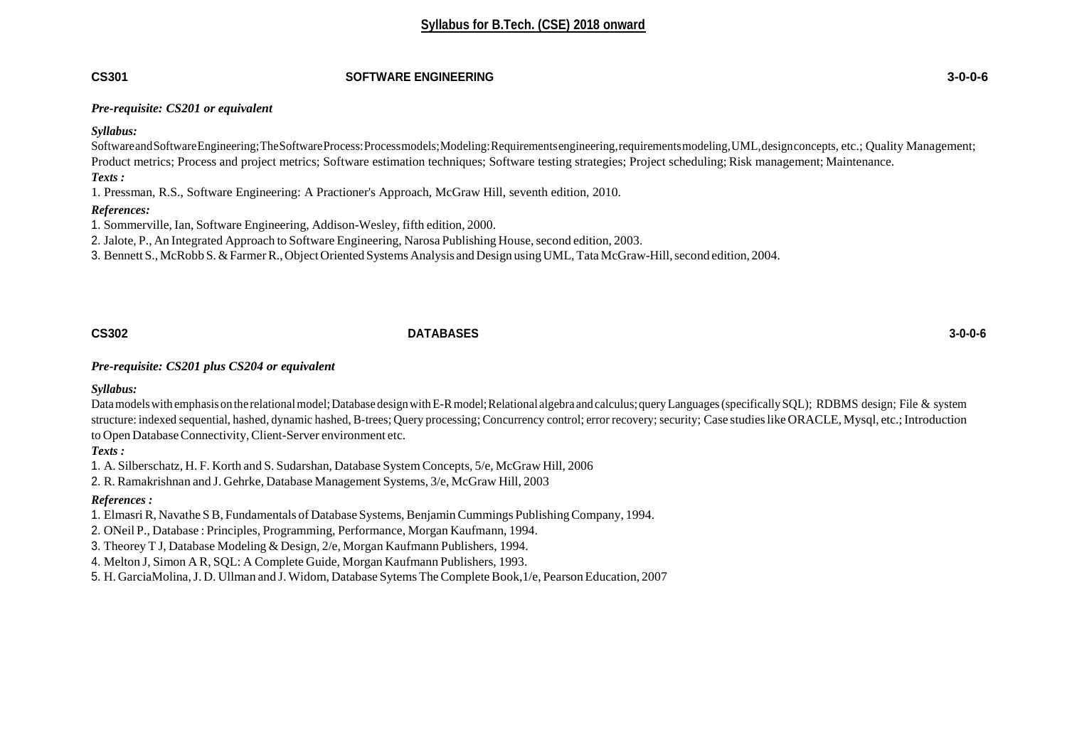#### **CS301 SOFTWARE ENGINEERING 3-0-0-6**

#### *Pre-requisite: CS201 or equivalent*

#### *Syllabus:*

SoftwareandSoftwareEngineering;TheSoftwareProcess:Processmodels;Modeling:Requirementsengineering,requirementsmodeling,UML,designconcepts, etc.; Quality Management; Product metrics; Process and project metrics; Software estimation techniques; Software testing strategies; Project scheduling; Risk management; Maintenance. *Texts :*

1. Pressman, R.S., Software Engineering: A Practioner's Approach, McGraw Hill, seventh edition, 2010.

#### *References:*

1. Sommerville, Ian, Software Engineering, Addison-Wesley, fifth edition, 2000.

2. Jalote, P., An Integrated Approach to Software Engineering, Narosa Publishing House, second edition, 2003.

3. Bennett S., McRobb S.&FarmerR.,Object Oriented Systems Analysis and Design usingUML,TataMcGraw-Hill,second edition, 2004.

# **CS302 DATABASES 3-0-0-6**

*Pre-requisite: CS201 plus CS204 or equivalent*

*Syllabus:*

Data models with emphasis on the relational model; Database design with E-R model; Relational algebra and calculus; query Languages (specifically SQL); RDBMS design; File & system structure: indexed sequential, hashed, dynamic hashed, B-trees; Query processing; Concurrency control; error recovery; security; Case studies like ORACLE, Mysql, etc.; Introduction to Open Database Connectivity, Client-Server environment etc.

*Texts :*

1. A. Silberschatz, H. F. Korth and S. Sudarshan, Database System Concepts, 5/e, McGraw Hill, 2006

2. R. Ramakrishnan and J. Gehrke, Database Management Systems, 3/e, McGraw Hill, 2003

### *References :*

1. ElmasriR, Navathe SB, Fundamentals of Database Systems, BenjaminCummings PublishingCompany, 1994.

2. ONeil P., Database : Principles, Programming, Performance, Morgan Kaufmann, 1994.

3. Theorey T J, Database Modeling & Design, 2/e, Morgan Kaufmann Publishers, 1994.

4. Melton J, Simon A R, SQL: A Complete Guide, Morgan Kaufmann Publishers, 1993.

5. H. GarciaMolina, J. D. Ullman and J. Widom, Database Sytems The Complete Book, 1/e, Pearson Education, 2007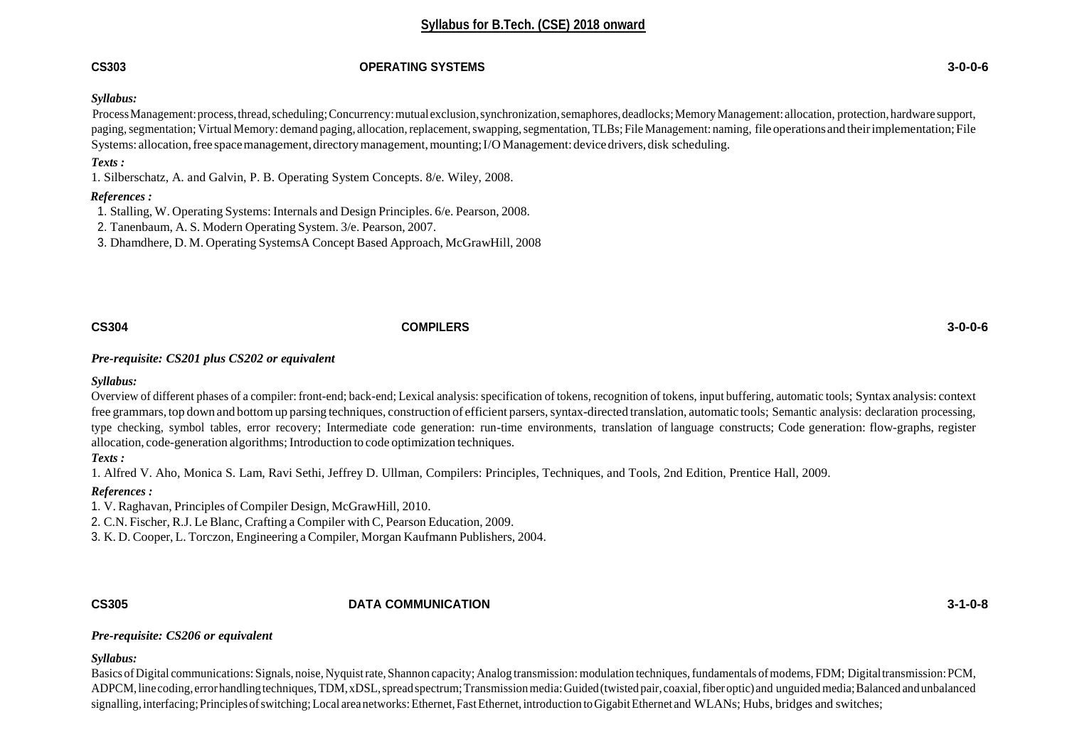### **CS303 OPERATING SYSTEMS 3-0-0-6**

### *Syllabus:*

Process Management: process, thread, scheduling; Concurrency: mutual exclusion, synchronization, semaphores, deadlocks; Memory Management: allocation, protection, hardware support, paging, segmentation; Virtual Memory: demand paging, allocation, replacement, swapping, segmentation, TLBs; File Management: naming, file operations and their implementation; File Systems: allocation, free space management, directory management, mounting; I/O Management: device drivers, disk scheduling.

### *Texts :*

1. Silberschatz, A. and Galvin, P. B. Operating System Concepts. 8/e. Wiley, 2008.

### *References :*

1. Stalling, W. Operating Systems: Internals and Design Principles. 6/e. Pearson, 2008.

2. Tanenbaum, A. S. Modern Operating System. 3/e. Pearson, 2007.

3. Dhamdhere, D. M. Operating SystemsA Concept Based Approach, McGrawHill, 2008

# **CS304 COMPILERS 3-0-0-6**

*Pre-requisite: CS201 plus CS202 or equivalent*

### *Syllabus:*

Overview of different phases of a compiler: front-end; back-end; Lexical analysis: specification of tokens, recognition of tokens, input buffering, automatic tools; Syntax analysis: context free grammars, top down and bottomup parsing techniques, construction of efficient parsers,syntax-directed translation, automatic tools; Semantic analysis: declaration processing, type checking, symbol tables, error recovery; Intermediate code generation: run-time environments, translation of language constructs; Code generation: flow-graphs, register allocation, code-generation algorithms; Introduction to code optimization techniques.

### *Texts :*

1. Alfred V. Aho, Monica S. Lam, Ravi Sethi, Jeffrey D. Ullman, Compilers: Principles, Techniques, and Tools, 2nd Edition, Prentice Hall, 2009.

### *References :*

1. V. Raghavan, Principles of Compiler Design, McGrawHill, 2010.

2. C.N. Fischer, R.J. Le Blanc, Crafting a Compiler with C, Pearson Education, 2009.

3. K. D. Cooper, L. Torczon, Engineering a Compiler, Morgan Kaufmann Publishers, 2004.

# **CS305 DATA COMMUNICATION 3-1-0-8**

### *Pre-requisite: CS206 or equivalent*

*Syllabus:*

Basics of Digital communications: Signals, noise, Nyquistrate, Shannon capacity; Analog transmission: modulation techniques, fundamentals of modems, FDM; Digital transmission: PCM, ADPCM, line coding, error handling techniques, TDM, xDSL, spread spectrum; Transmission media: Guided (twisted pair, coaxial, fiber optic) and unguided media; Balanced and unbalanced signalling, interfacing; Principles of switching; Local areanetworks: Ethernet, Fast Ethernet, introduction to Gigabit Ethernet and WLANs; Hubs, bridges and switches;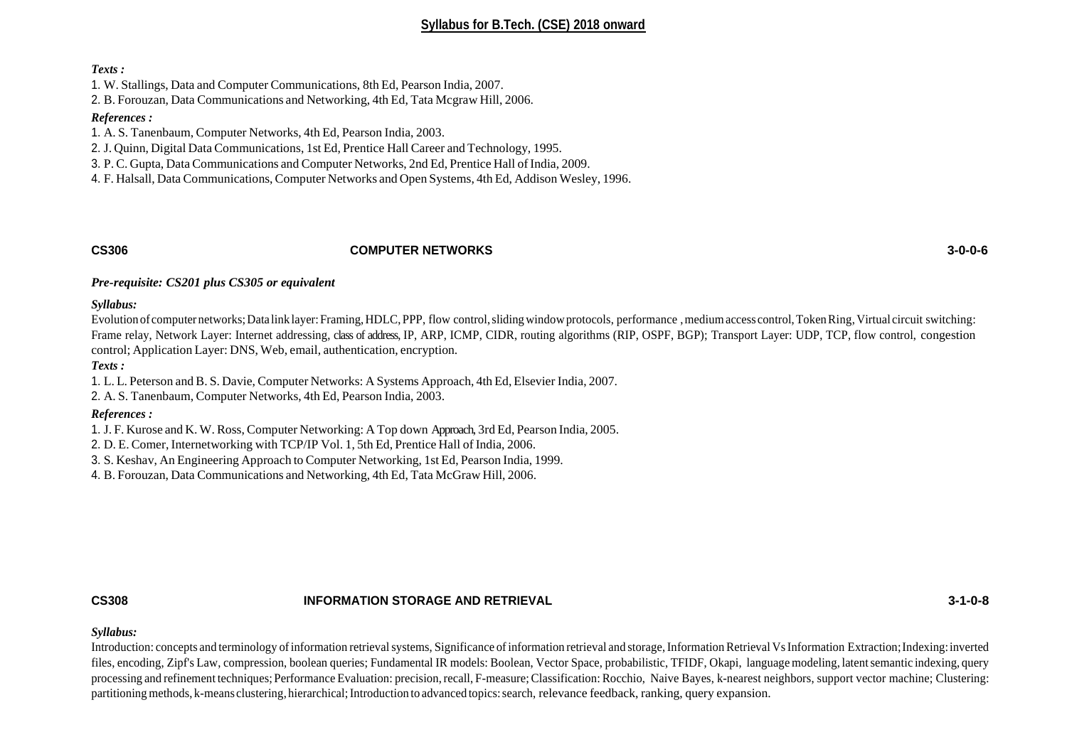#### *Texts :*

1. W. Stallings, Data and Computer Communications, 8th Ed, Pearson India, 2007.

2. B. Forouzan, Data Communications and Networking, 4th Ed, Tata Mcgraw Hill, 2006.

#### *References :*

1. A. S. Tanenbaum, Computer Networks, 4th Ed, Pearson India, 2003.

2. J. Quinn, Digital Data Communications, 1st Ed, Prentice Hall Career and Technology, 1995.

3. P. C. Gupta, Data Communications and Computer Networks, 2nd Ed, Prentice Hall of India, 2009.

4. F. Halsall, Data Communications, Computer Networks and Open Systems, 4th Ed, Addison Wesley, 1996.

### **CS306 COMPUTER NETWORKS 3-0-0-6**

### *Pre-requisite: CS201 plus CS305 or equivalent*

*Syllabus:*

Evolution of computernetworks; Data link layer: Framing, HDLC, PPP, flow control, sliding window protocols, performance, medium access control, Token Ring, Virtual circuit switching: Frame relay, Network Layer: Internet addressing, class of address, IP, ARP, ICMP, CIDR, routing algorithms (RIP, OSPF, BGP); Transport Layer: UDP, TCP, flow control, congestion control; Application Layer: DNS, Web, email, authentication, encryption.

#### *Texts :*

1. L. L. Peterson and B. S. Davie, Computer Networks: A Systems Approach, 4th Ed, Elsevier India, 2007.

2. A. S. Tanenbaum, Computer Networks, 4th Ed, Pearson India, 2003.

### *References :*

1. J. F. Kurose and K. W. Ross, Computer Networking: A Top down Approach, 3rd Ed, Pearson India, 2005.

2. D. E. Comer, Internetworking with TCP/IP Vol. 1, 5th Ed, Prentice Hall of India, 2006.

3. S. Keshav, An Engineering Approach to Computer Networking, 1st Ed, Pearson India, 1999.

4. B. Forouzan, Data Communications and Networking, 4th Ed, Tata McGraw Hill, 2006.

### **CS308 INFORMATION STORAGE AND RETRIEVAL 3-1-0-8**

### *Syllabus:*

Introduction: concepts and terminology of information retrieval systems, Significance of information retrieval and storage, Information Retrieval Vs Information Extraction; Indexing: inverted files, encoding, Zipf's Law, compression, boolean queries; Fundamental IR models: Boolean, Vector Space, probabilistic, TFIDF, Okapi, language modeling, latentsemantic indexing, query processing and refinement techniques; Performance Evaluation: precision,recall, F-measure;Classification: Rocchio, Naive Bayes, k-nearest neighbors, support vector machine; Clustering: partitioning methods, k-means clustering, hierarchical; Introduction to advanced topics: search, relevance feedback, ranking, query expansion.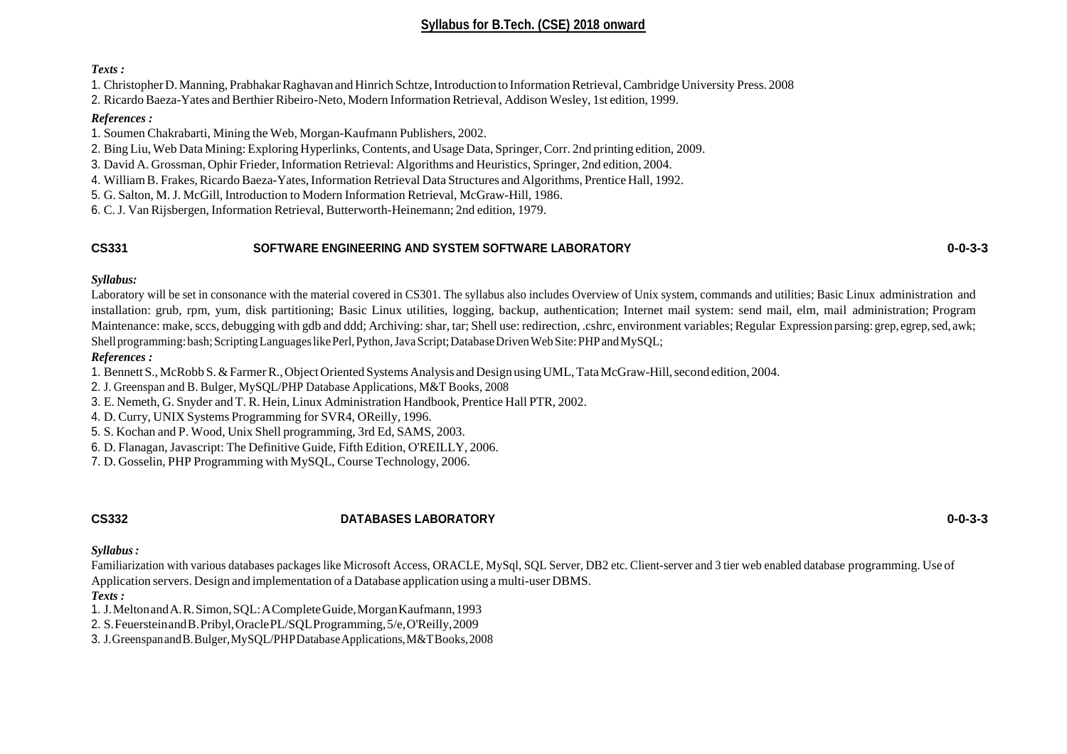#### *Texts :*

1. ChristopherD.Manning,PrabhakarRaghavan andHinrich Schtze,Introduction to InformationRetrieval,Cambridge University Press. 2008

2. RicardoBaeza-Yates and Berthier Ribeiro-Neto, Modern Information Retrieval, Addison Wesley, 1st edition, 1999.

### *References :*

1. Soumen Chakrabarti, Mining the Web, Morgan-Kaufmann Publishers, 2002.

2. Bing Liu, Web Data Mining: Exploring Hyperlinks, Contents, and Usage Data, Springer,Corr. 2nd printing edition, 2009.

3. David A. Grossman, Ophir Frieder, Information Retrieval: Algorithms and Heuristics, Springer, 2nd edition, 2004.

4. WilliamB. Frakes,RicardoBaeza-Yates,Information Retrieval Data Structures and Algorithms, Prentice Hall, 1992.

5. G. Salton, M.J. McGill, Introduction to Modern Information Retrieval, McGraw-Hill, 1986.

6. C.J. Van Rijsbergen, Information Retrieval, Butterworth-Heinemann; 2nd edition, 1979.

# **CS331 SOFTWARE ENGINEERING AND SYSTEM SOFTWARE LABORATORY 0-0-3-3**

# *Syllabus:*

Laboratory will be set in consonance with the material covered in CS301. The syllabus also includes Overview of Unix system, commands and utilities; Basic Linux administration and installation: grub, rpm, yum, disk partitioning; Basic Linux utilities, logging, backup, authentication; Internet mail system: send mail, elm, mail administration; Program Maintenance: make, sccs, debugging with gdb and ddd; Archiving: shar, tar; Shell use: redirection, .cshrc, environment variables; Regular Expression parsing: grep, egrep, sed, awk; Shell programming: bash; Scripting Languages like Perl, Python, Java Script; Database Driven Web Site: PHP and MySQL;

# *References :*

1. Bennett S., McRobb S.&FarmerR.,Object Oriented SystemsAnalysis and Design usingUML,TataMcGraw-Hill,second edition, 2004.

2. J. Greenspan and B. Bulger, MySQL/PHP Database Applications, M&T Books, 2008

3. E. Nemeth, G. Snyder and T. R. Hein, Linux Administration Handbook, Prentice Hall PTR, 2002.

4. D. Curry, UNIX Systems Programming for SVR4, OReilly, 1996.

- 5. S. Kochan and P. Wood, Unix Shell programming, 3rd Ed, SAMS, 2003.
- 6. D. Flanagan,Javascript: The Definitive Guide, Fifth Edition, O'REILLY, 2006.
- 7. D. Gosselin, PHP Programming with MySQL, Course Technology, 2006.

# **CS332 DATABASES LABORATORY 0-0-3-3**

*Syllabus:*

Familiarization with various databases packages like Microsoft Access, ORACLE, MySql, SQL Server, DB2 etc. Client-server and 3 tier web enabled database programming. Use of Application servers. Design and implementation of a Database application using a multi-user DBMS.

# *Texts :*

1. J.MeltonandA.R.Simon,SQL:ACompleteGuide,MorganKaufmann,1993

2. S.FeuersteinandB.Pribyl,OraclePL/SQLProgramming,5/e,O'Reilly,2009

3. J.GreenspanandB.Bulger,MySQL/PHPDatabaseApplications,M&TBooks,2008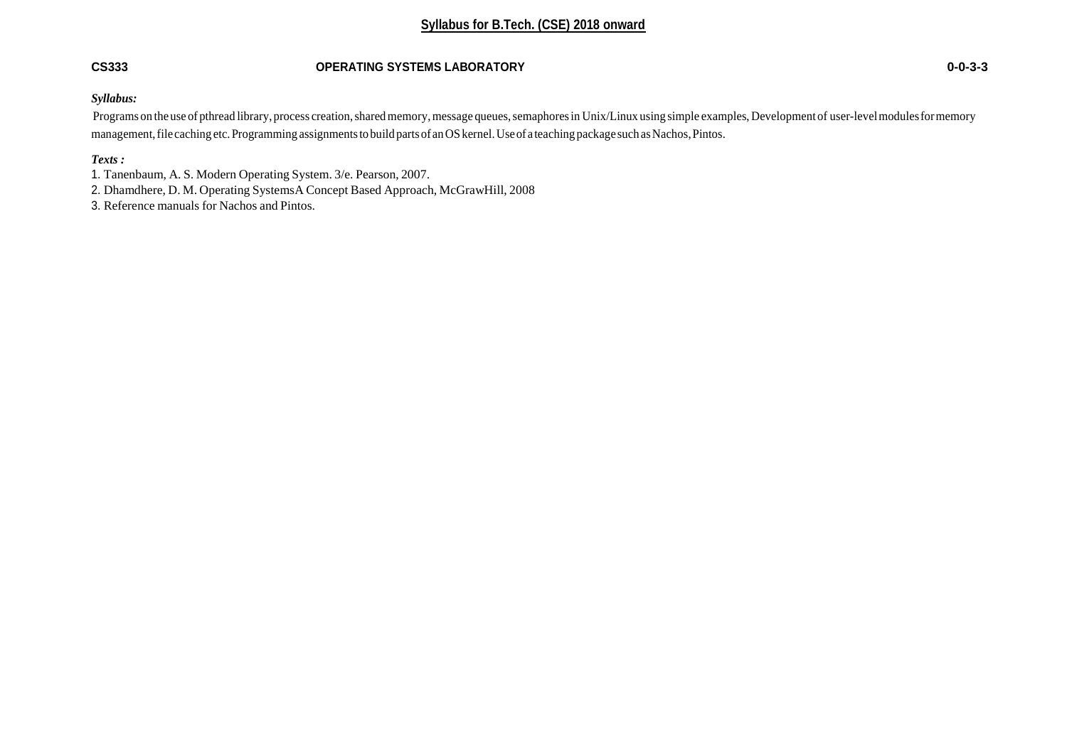# **CS333 OPERATING SYSTEMS LABORATORY 0-0-3-3**

#### *Syllabus:*

Programs on the use of pthread library, process creation, shared memory, message queues, semaphores in Unix/Linux using simple examples, Development of user-level modules for memory management, file caching etc. Programming assignments to build parts of an OS kernel. Use of a teaching package such as Nachos, Pintos.

# *Texts :*

1. Tanenbaum, A. S. Modern Operating System. 3/e. Pearson, 2007.

- 2. Dhamdhere, D. M. Operating SystemsA Concept Based Approach, McGrawHill, 2008
- 3. Reference manuals for Nachos and Pintos.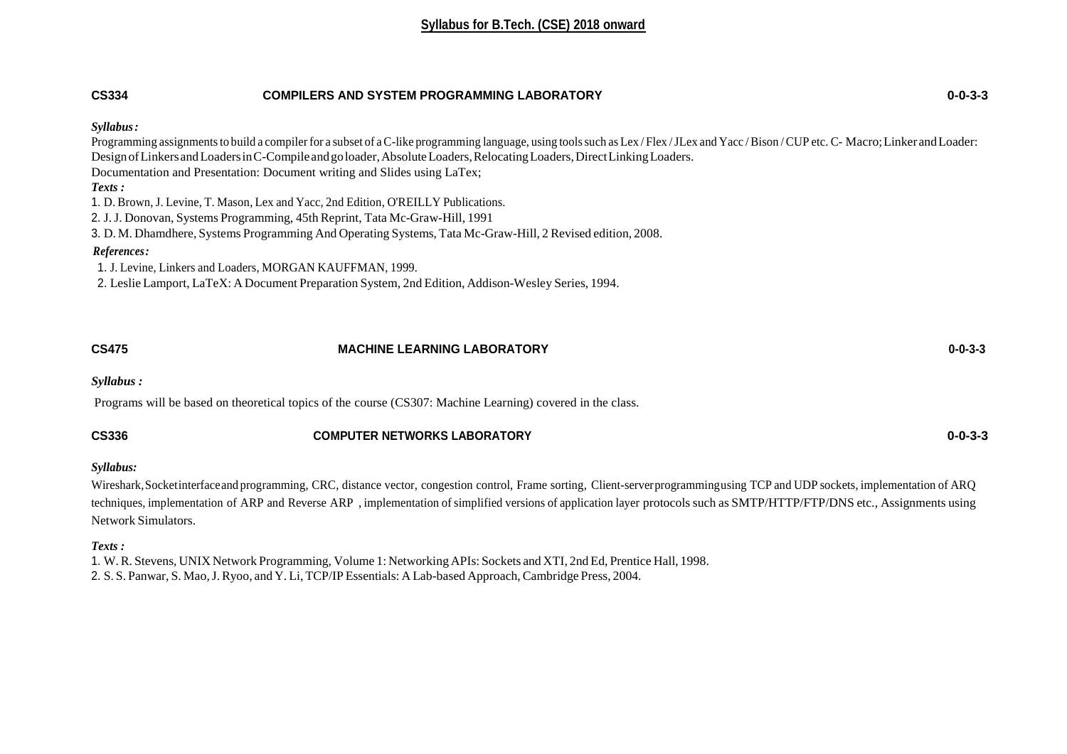# **CS334 COMPILERS AND SYSTEM PROGRAMMING LABORATORY 0-0-3-3** *Syllabus:* Programming assignments to build a compiler for a subset of a C-like programming language, using tools such as Lex / Flex / JLex and Yacc / Bison / CUP etc. C- Macro; Linker and Loader: Design of Linkers and Loaders in C-Compile and goloader, Absolute Loaders, Relocating Loaders, Direct Linking Loaders. Documentation and Presentation: Document writing and Slides using LaTex; *Texts :* 1. D. Brown, J. Levine, T. Mason, Lex and Yacc, 2nd Edition, O'REILLY Publications. 2. J.J. Donovan, Systems Programming, 45th Reprint, Tata Mc-Graw-Hill, 1991 3. D. M. Dhamdhere, Systems Programming And Operating Systems, Tata Mc-Graw-Hill, 2 Revised edition, 2008.  *References:* 1. J. Levine, Linkers and Loaders, MORGAN KAUFFMAN, 1999. 2. Leslie Lamport, LaTeX: A Document Preparation System, 2nd Edition, Addison-Wesley Series, 1994.

| <b>CS475</b> | <b>MACHINE LEARNING LABORATORY</b> | $0 - 0 - 3 - 3$ |
|--------------|------------------------------------|-----------------|
| Syllabus:    |                                    |                 |

Programs will be based on theoretical topics of the course (CS307: Machine Learning) covered in the class.

| <b>CS336</b> | <b>COMPUTER NETWORKS LABORATORY</b> | 0-0-3-3 |
|--------------|-------------------------------------|---------|
|              |                                     |         |

#### *Syllabus:*

Wireshark,Socketinterfaceand programming, CRC, distance vector, congestion control, Frame sorting, Client-serverprogrammingusing TCP and UDP sockets, implementation of ARQ techniques, implementation of ARP and Reverse ARP, implementation of simplified versions of application layer protocols such as SMTP/HTTP/FTP/DNS etc., Assignments using Network Simulators.

### *Texts :*

1. W.R. Stevens, UNIX Network Programming, Volume 1: Networking APIs: Sockets and XTI, 2nd Ed, Prentice Hall, 1998. 2. S. S. Panwar, S. Mao, J. Ryoo, and Y. Li, TCP/IP Essentials: A Lab-based Approach, Cambridge Press, 2004.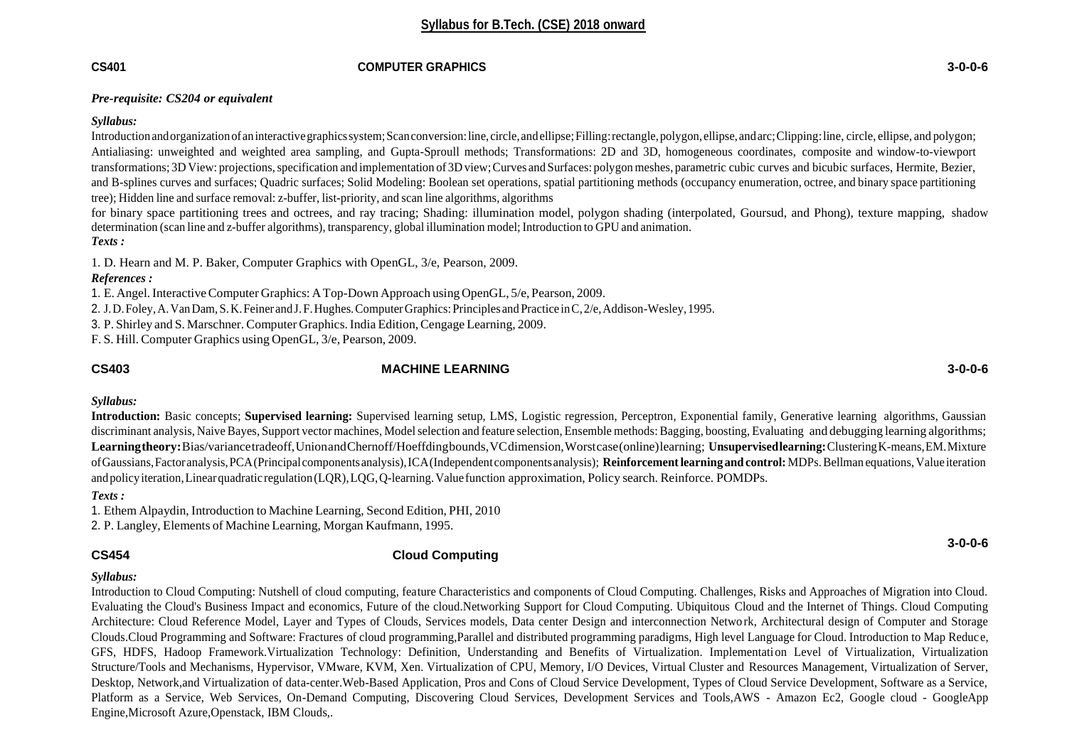#### **CS401 COMPUTER GRAPHICS 3-0-0-6**

#### *Pre-requisite: CS204 or equivalent*

#### *Syllabus:*

Introduction and organization of an interactive graphics system; Scan conversion: line, circle, and ellipse; Filling: rectangle, polygon, ellipse, and arc; Clipping: line, circle, ellipse, and polygon; Antialiasing: unweighted and weighted area sampling, and Gupta-Sproull methods; Transformations: 2D and 3D, homogeneous coordinates, composite and window-to-viewport transformations; 3D View: projections,specification and implementation of 3D view;Curves and Surfaces: polygonmeshes, parametric cubic curves and bicubic surfaces, Hermite, Bezier, and B-splines curves and surfaces; Quadric surfaces; Solid Modeling: Boolean set operations, spatial partitioning methods (occupancy enumeration, octree, and binary space partitioning tree); Hidden line and surface removal: z-buffer, list-priority, and scan line algorithms, algorithms

for binary space partitioning trees and octrees, and ray tracing; Shading: illumination model, polygon shading (interpolated, Goursud, and Phong), texture mapping, shadow determination (scan line and z-buffer algorithms), transparency, global illumination model;Introduction to GPU and animation. *Texts :*

1. D. Hearn and M. P. Baker, Computer Graphics with OpenGL, 3/e, Pearson, 2009.

### *References :*

1. E. Angel.InteractiveComputer Graphics: ATop-Down Approach usingOpenGL, 5/e, Pearson, 2009.

2. J.D.Foley,A.VanDam,S.K.Feiner andJ.F.Hughes.ComputerGraphics:Principles and Practice inC,2/e,Addison-Wesley,1995.

3. P. Shirley and S. Marschner.Computer Graphics.India Edition,Cengage Learning, 2009.

F. S. Hill. Computer Graphics using OpenGL, 3/e, Pearson, 2009.

# **CS403 MACHINE LEARNING 3-0-0-6**

### *Syllabus:*

**Introduction:** Basic concepts; **Supervised learning:** Supervised learning setup, LMS, Logistic regression, Perceptron, Exponential family, Generative learning algorithms, Gaussian discriminant analysis, Naive Bayes, Support vector machines, Model selection and feature selection, Ensemble methods: Bagging, boosting, Evaluating and debugging learning algorithms; **Learningtheory:**Bias/variancetradeoff,UnionandChernoff/Hoeffdingbounds,VCdimension,Worstcase(online)learning; **Unsupervisedlearning:**ClusteringK-means,EM.Mixture ofGaussians,Factoranalysis,PCA(Principalcomponentsanalysis),ICA(Independentcomponentsanalysis); **Reinforcementlearningandcontrol:** MDPs.Bellman equations,Value iteration andpolicyiteration,Linearquadratic regulation(LQR),LQG,Q-learning.Valuefunction approximation, Policy search. Reinforce. POMDPs.

### *Texts :*

1. Ethem Alpaydin, Introduction to Machine Learning, Second Edition, PHI, 2010

2. P. Langley, Elements of Machine Learning, Morgan Kaufmann, 1995.

# **CS454 Cloud Computing**

### *Syllabus:*

Introduction to Cloud Computing: Nutshell of cloud computing, feature Characteristics and components of Cloud Computing. Challenges, Risks and Approaches of Migration into Cloud. Evaluating the Cloud's Business Impact and economics, Future of the cloud.Networking Support for Cloud Computing. Ubiquitous Cloud and the Internet of Things. Cloud Computing Architecture: Cloud Reference Model, Layer and Types of Clouds, Services models, Data center Design and interconnection Netwo rk, Architectural design of Computer and Storage Clouds.Cloud Programming and Software: Fractures of cloud programming,Parallel and distributed programming paradigms, High level Language for Cloud. Introduction to Map Reduce, GFS, HDFS, Hadoop Framework.Virtualization Technology: Definition, Understanding and Benefits of Virtualization. Implementation Level of Virtualization, Virtualization Structure/Tools and Mechanisms, Hypervisor, VMware, KVM, Xen. Virtualization of CPU, Memory, I/O Devices, Virtual Cluster and Resources Management, Virtualization of Server, Desktop, Network,and Virtualization of data-center.Web-Based Application, Pros and Cons of Cloud Service Development, Types of Cloud Service Development, Software as a Service, Platform as a Service, Web Services, On-Demand Computing, Discovering Cloud Services, Development Services and Tools,AWS - Amazon Ec2, Google cloud - GoogleApp Engine,Microsoft Azure,Openstack, IBM Clouds,.

**3-0-0-6**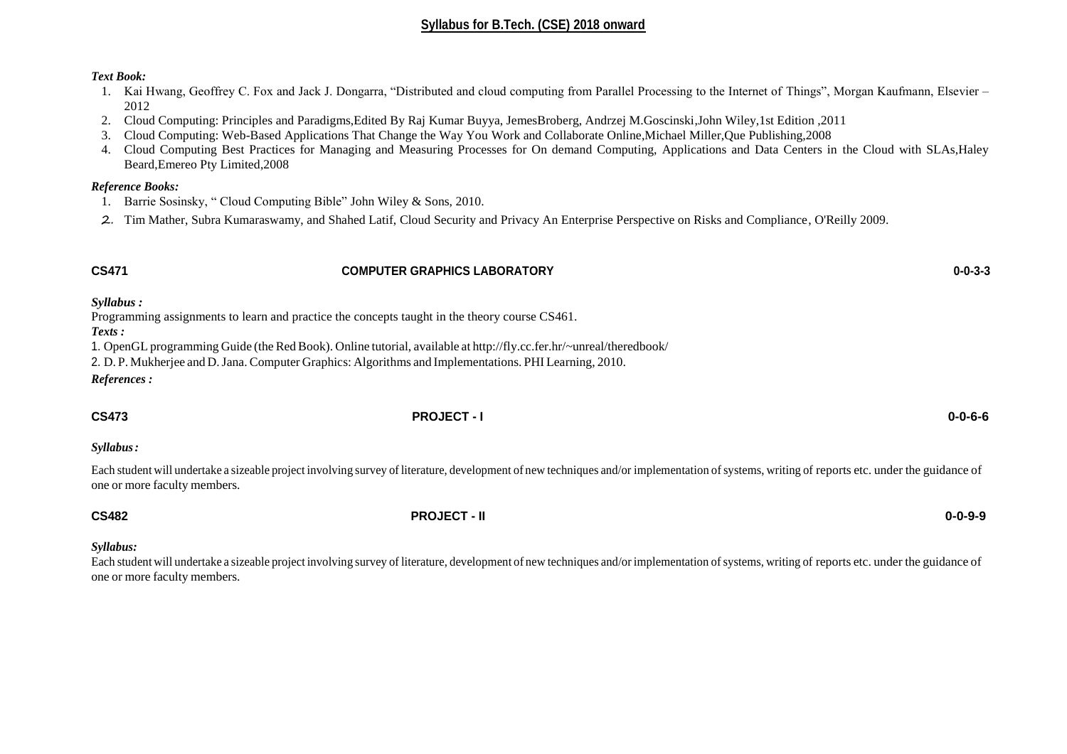### *Text Book:*

- 1. Kai Hwang, Geoffrey C. Fox and Jack J. Dongarra, "Distributed and cloud computing from Parallel Processing to the Internet of Things", Morgan Kaufmann, Elsevier 2012
- 2. Cloud Computing: Principles and Paradigms,Edited By Raj Kumar Buyya, JemesBroberg, Andrzej M.Goscinski,John Wiley,1st Edition ,2011
- 3. Cloud Computing: Web-Based Applications That Change the Way You Work and Collaborate Online,Michael Miller,Que Publishing,2008
- 4. Cloud Computing Best Practices for Managing and Measuring Processes for On demand Computing, Applications and Data Centers in the Cloud with SLAs,Haley Beard,Emereo Pty Limited,2008

#### *Reference Books:*

- 1. Barrie Sosinsky, " Cloud Computing Bible" John Wiley & Sons, 2010.
- 2. Tim Mather, Subra Kumaraswamy, and Shahed Latif, Cloud Security and Privacy An Enterprise Perspective on Risks and Compliance, O'Reilly 2009.

#### **CS471 COMPUTER GRAPHICS LABORATORY 0-0-3-3**

*Syllabus :*

Programming assignments to learn and practice the concepts taught in the theory course CS461.

*Texts :*

1. OpenGL programming Guide (the RedBook). Online tutorial, available at <http://fly.cc.fer.hr/~unreal/theredbook/>

2. D. P. Mukherjee and D.Jana. Computer Graphics: Algorithms and Implementations. PHI Learning, 2010.

*References :*

**CS473 PROJECT - I 0-0-6-6**

*Syllabus:*

Each student will undertake a sizeable project involving survey of literature, development of new techniques and/or implementation of systems, writing of reports etc. under the guidance of one or more faculty members.

### **CS482 PROJECT - II 0-0-9-9**

#### *Syllabus:*

Each student will undertake a sizeable project involving survey of literature, development of new techniques and/or implementation of systems, writing of reports etc. under the guidance of one or more faculty members.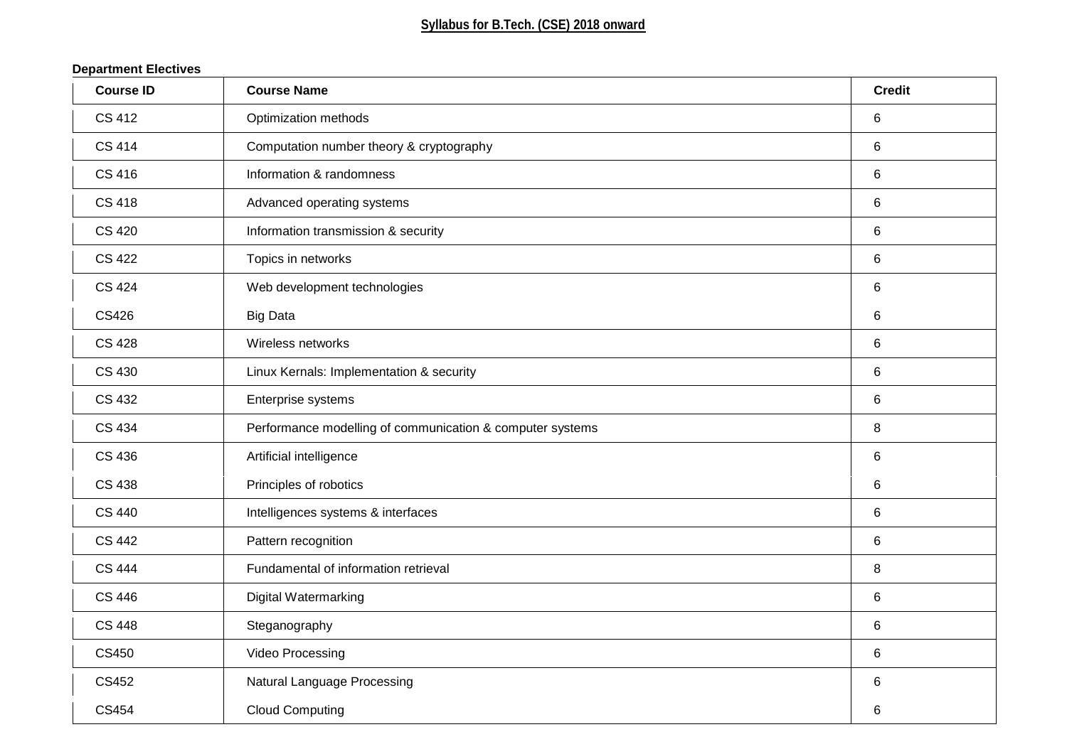# **Department Electives**

| <b>Course ID</b> | <b>Course Name</b>                                        | <b>Credit</b>  |
|------------------|-----------------------------------------------------------|----------------|
| <b>CS 412</b>    | Optimization methods                                      | $\,6$          |
| <b>CS 414</b>    | Computation number theory & cryptography                  | $6\phantom{1}$ |
| <b>CS 416</b>    | Information & randomness                                  | 6              |
| <b>CS 418</b>    | Advanced operating systems                                | $\,6$          |
| <b>CS 420</b>    | Information transmission & security                       | $\,6$          |
| <b>CS 422</b>    | Topics in networks                                        | $\,6$          |
| <b>CS 424</b>    | Web development technologies                              | $\,6$          |
| <b>CS426</b>     | <b>Big Data</b>                                           | $\,6$          |
| <b>CS 428</b>    | Wireless networks                                         | $\,6$          |
| <b>CS 430</b>    | Linux Kernals: Implementation & security                  | $\,6$          |
| <b>CS 432</b>    | Enterprise systems                                        | 6              |
| CS 434           | Performance modelling of communication & computer systems | 8              |
| <b>CS 436</b>    | Artificial intelligence                                   | $6\phantom{1}$ |
| <b>CS 438</b>    | Principles of robotics                                    | $\,6$          |
| <b>CS 440</b>    | Intelligences systems & interfaces                        | $\,6$          |
| <b>CS 442</b>    | Pattern recognition                                       | $\,6$          |
| <b>CS 444</b>    | Fundamental of information retrieval                      | 8              |
| <b>CS 446</b>    | <b>Digital Watermarking</b>                               | $\,6$          |
| <b>CS 448</b>    | Steganography                                             | $\,6$          |
| CS450            | Video Processing                                          | $6\phantom{1}$ |
| CS452            | <b>Natural Language Processing</b>                        | $\,6$          |
| CS454            | <b>Cloud Computing</b>                                    | 6              |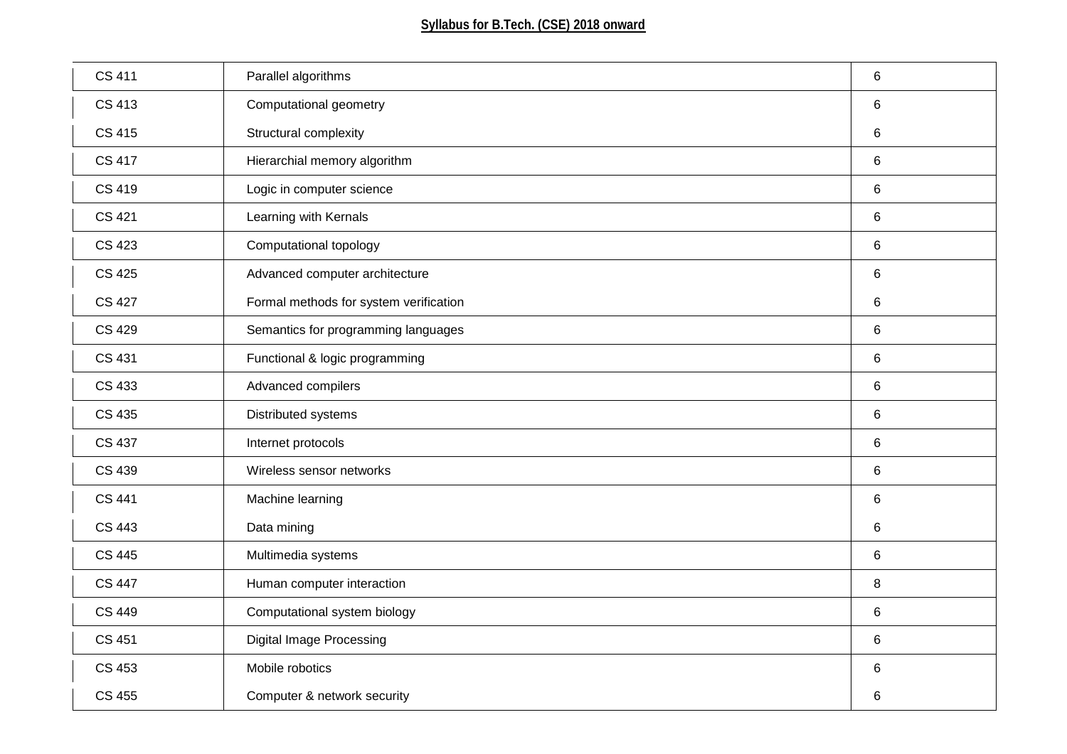| <b>CS 411</b> | Parallel algorithms                    | 6              |
|---------------|----------------------------------------|----------------|
| <b>CS 413</b> | Computational geometry                 | 6              |
| <b>CS 415</b> | Structural complexity                  | 6              |
| <b>CS 417</b> | Hierarchial memory algorithm           | $6\phantom{a}$ |
| <b>CS 419</b> | Logic in computer science              | 6              |
| <b>CS 421</b> | Learning with Kernals                  | 6              |
| <b>CS 423</b> | Computational topology                 | 6              |
| <b>CS 425</b> | Advanced computer architecture         | 6              |
| <b>CS 427</b> | Formal methods for system verification | $\,6\,$        |
| <b>CS 429</b> | Semantics for programming languages    | 6              |
| <b>CS 431</b> | Functional & logic programming         | 6              |
| CS 433        | Advanced compilers                     | 6              |
| CS 435        | Distributed systems                    | 6              |
| <b>CS 437</b> | Internet protocols                     | 6              |
| CS 439        | Wireless sensor networks               | 6              |
| <b>CS 441</b> | Machine learning                       | 6              |
| <b>CS 443</b> | Data mining                            | $\,6$          |
| <b>CS 445</b> | Multimedia systems                     | 6              |
| <b>CS 447</b> | Human computer interaction             | 8              |
| <b>CS 449</b> | Computational system biology           | $\,6$          |
| <b>CS 451</b> | <b>Digital Image Processing</b>        | 6              |
| <b>CS 453</b> | Mobile robotics                        | $\,6$          |
| <b>CS 455</b> | Computer & network security            | 6              |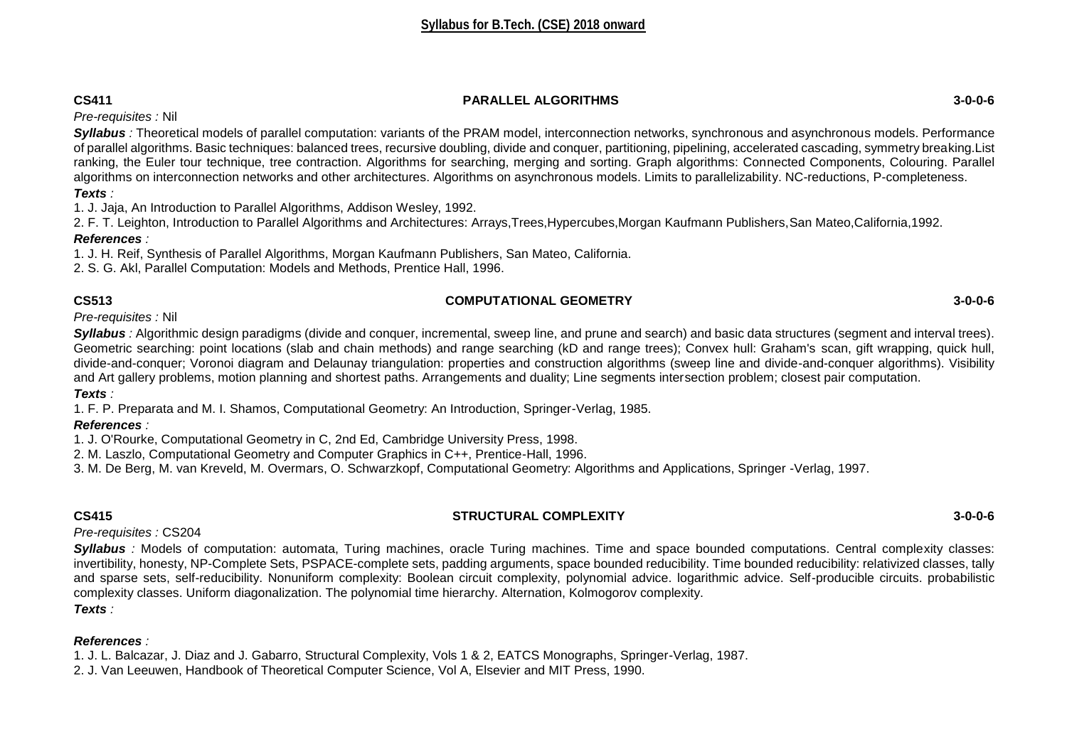# **CS411 PARALLEL ALGORITHMS 3-0-0-6**

*Pre-requisites :* Nil

*Syllabus :* Theoretical models of parallel computation: variants of the PRAM model, interconnection networks, synchronous and asynchronous models. Performance of parallel algorithms. Basic techniques: balanced trees, recursive doubling, divide and conquer, partitioning, pipelining, accelerated cascading, symmetry breaking.List ranking, the Euler tour technique, tree contraction. Algorithms for searching, merging and sorting. Graph algorithms: Connected Components, Colouring. Parallel algorithms on interconnection networks and other architectures. Algorithms on asynchronous models. Limits to parallelizability. NC-reductions, P-completeness. *Texts :* 

1. J. Jaja, An Introduction to Parallel Algorithms, Addison Wesley, 1992.

2. F. T. Leighton, Introduction to Parallel Algorithms and Architectures: Arrays,Trees,Hypercubes,Morgan Kaufmann Publishers,San Mateo,California,1992.

# *References :*

1. J. H. Reif, Synthesis of Parallel Algorithms, Morgan Kaufmann Publishers, San Mateo, California.

2. S. G. Akl, Parallel Computation: Models and Methods, Prentice Hall, 1996.

# **CS513 COMPUTATIONAL GEOMETRY 3-0-0-6**

*Pre-requisites :* Nil

*Syllabus :* Algorithmic design paradigms (divide and conquer, incremental, sweep line, and prune and search) and basic data structures (segment and interval trees). Geometric searching: point locations (slab and chain methods) and range searching (kD and range trees); Convex hull: Graham's scan, gift wrapping, quick hull, divide-and-conquer; Voronoi diagram and Delaunay triangulation: properties and construction algorithms (sweep line and divide-and-conquer algorithms). Visibility and Art gallery problems, motion planning and shortest paths. Arrangements and duality; Line segments intersection problem; closest pair computation.

*Texts :* 

1. F. P. Preparata and M. I. Shamos, Computational Geometry: An Introduction, Springer-Verlag, 1985.

# *References :*

1. J. O'Rourke, Computational Geometry in C, 2nd Ed, Cambridge University Press, 1998.

2. M. Laszlo, Computational Geometry and Computer Graphics in C++, Prentice-Hall, 1996.

3. M. De Berg, M. van Kreveld, M. Overmars, O. Schwarzkopf, Computational Geometry: Algorithms and Applications, Springer -Verlag, 1997.

# **CS415 STRUCTURAL COMPLEXITY 3-0-0-6**

*Pre-requisites :* CS204

*Syllabus :* Models of computation: automata, Turing machines, oracle Turing machines. Time and space bounded computations. Central complexity classes: invertibility, honesty, NP-Complete Sets, PSPACE-complete sets, padding arguments, space bounded reducibility. Time bounded reducibility: relativized classes, tally and sparse sets, self-reducibility. Nonuniform complexity: Boolean circuit complexity, polynomial advice. logarithmic advice. Self-producible circuits. probabilistic complexity classes. Uniform diagonalization. The polynomial time hierarchy. Alternation, Kolmogorov complexity. *Texts :* 

# *References :*

1. J. L. Balcazar, J. Diaz and J. Gabarro, Structural Complexity, Vols 1 & 2, EATCS Monographs, Springer-Verlag, 1987.

2. J. Van Leeuwen, Handbook of Theoretical Computer Science, Vol A, Elsevier and MIT Press, 1990.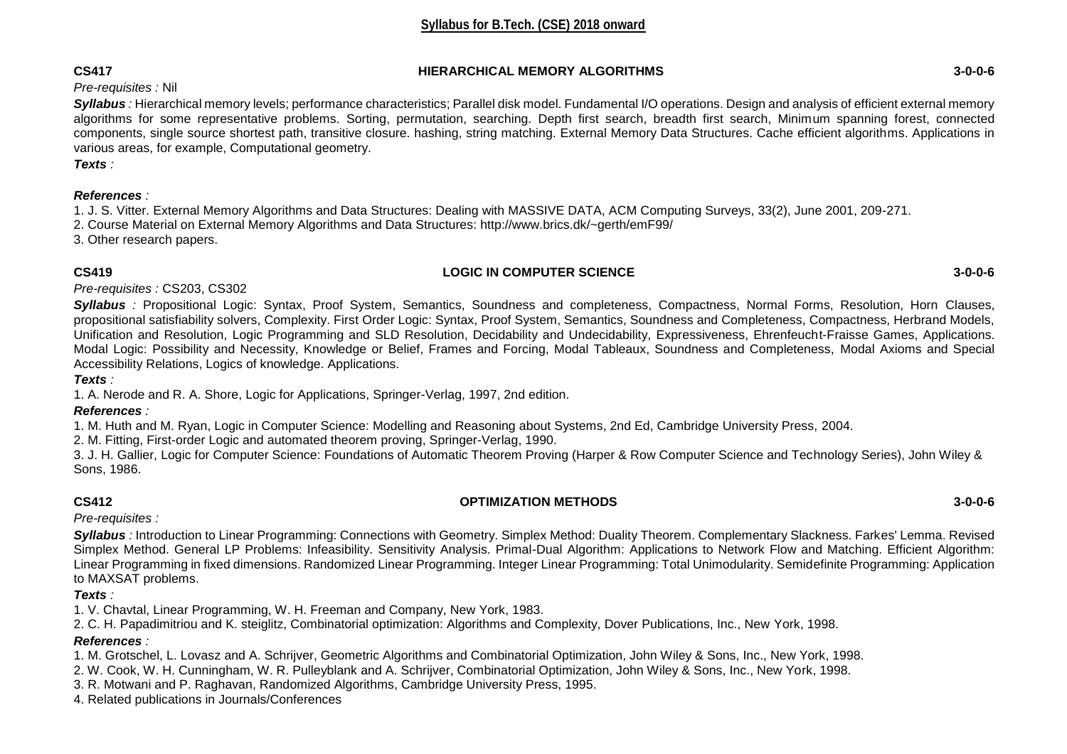# **CS417 HIERARCHICAL MEMORY ALGORITHMS 3-0-0-6**

# *Pre-requisites :* Nil

*Syllabus :* Hierarchical memory levels; performance characteristics; Parallel disk model. Fundamental I/O operations. Design and analysis of efficient external memory algorithms for some representative problems. Sorting, permutation, searching. Depth first search, breadth first search, Minimum spanning forest, connected components, single source shortest path, transitive closure. hashing, string matching. External Memory Data Structures. Cache efficient algorithms. Applications in various areas, for example, Computational geometry.

*Texts :* 

# *References :*

1. J. S. Vitter. External Memory Algorithms and Data Structures: Dealing with MASSIVE DATA, ACM Computing Surveys, 33(2), June 2001, 209-271.

2. Course Material on External Memory Algorithms and Data Structures: http://www.brics.dk/~gerth/emF99/

3. Other research papers.

### **CS419 LOGIC IN COMPUTER SCIENCE 3-0-0-6**

*Pre-requisites :* CS203, CS302

*Syllabus :* Propositional Logic: Syntax, Proof System, Semantics, Soundness and completeness, Compactness, Normal Forms, Resolution, Horn Clauses, propositional satisfiability solvers, Complexity. First Order Logic: Syntax, Proof System, Semantics, Soundness and Completeness, Compactness, Herbrand Models, Unification and Resolution, Logic Programming and SLD Resolution, Decidability and Undecidability, Expressiveness, Ehrenfeucht-Fraisse Games, Applications. Modal Logic: Possibility and Necessity, Knowledge or Belief, Frames and Forcing, Modal Tableaux, Soundness and Completeness, Modal Axioms and Special Accessibility Relations, Logics of knowledge. Applications.

*Texts :* 

1. A. Nerode and R. A. Shore, Logic for Applications, Springer-Verlag, 1997, 2nd edition.

# *References :*

1. M. Huth and M. Ryan, Logic in Computer Science: Modelling and Reasoning about Systems, 2nd Ed, Cambridge University Press, 2004.

2. M. Fitting, First-order Logic and automated theorem proving, Springer-Verlag, 1990.

3. J. H. Gallier, Logic for Computer Science: Foundations of Automatic Theorem Proving (Harper & Row Computer Science and Technology Series), John Wiley & Sons, 1986.

# **CS412 OPTIMIZATION METHODS 3-0-0-6**

*Pre-requisites :* 

*Syllabus :* Introduction to Linear Programming: Connections with Geometry. Simplex Method: Duality Theorem. Complementary Slackness. Farkes' Lemma. Revised Simplex Method. General LP Problems: Infeasibility. Sensitivity Analysis. Primal-Dual Algorithm: Applications to Network Flow and Matching. Efficient Algorithm: Linear Programming in fixed dimensions. Randomized Linear Programming. Integer Linear Programming: Total Unimodularity. Semidefinite Programming: Application to MAXSAT problems.

# *Texts :*

1. V. Chavtal, Linear Programming, W. H. Freeman and Company, New York, 1983.

2. C. H. Papadimitriou and K. steiglitz, Combinatorial optimization: Algorithms and Complexity, Dover Publications, Inc., New York, 1998.

# *References :*

1. M. Grotschel, L. Lovasz and A. Schrijver, Geometric Algorithms and Combinatorial Optimization, John Wiley & Sons, Inc., New York, 1998.

- 2. W. Cook, W. H. Cunningham, W. R. Pulleyblank and A. Schrijver, Combinatorial Optimization, John Wiley & Sons, Inc., New York, 1998.
- 3. R. Motwani and P. Raghavan, Randomized Algorithms, Cambridge University Press, 1995.
- 4. Related publications in Journals/Conferences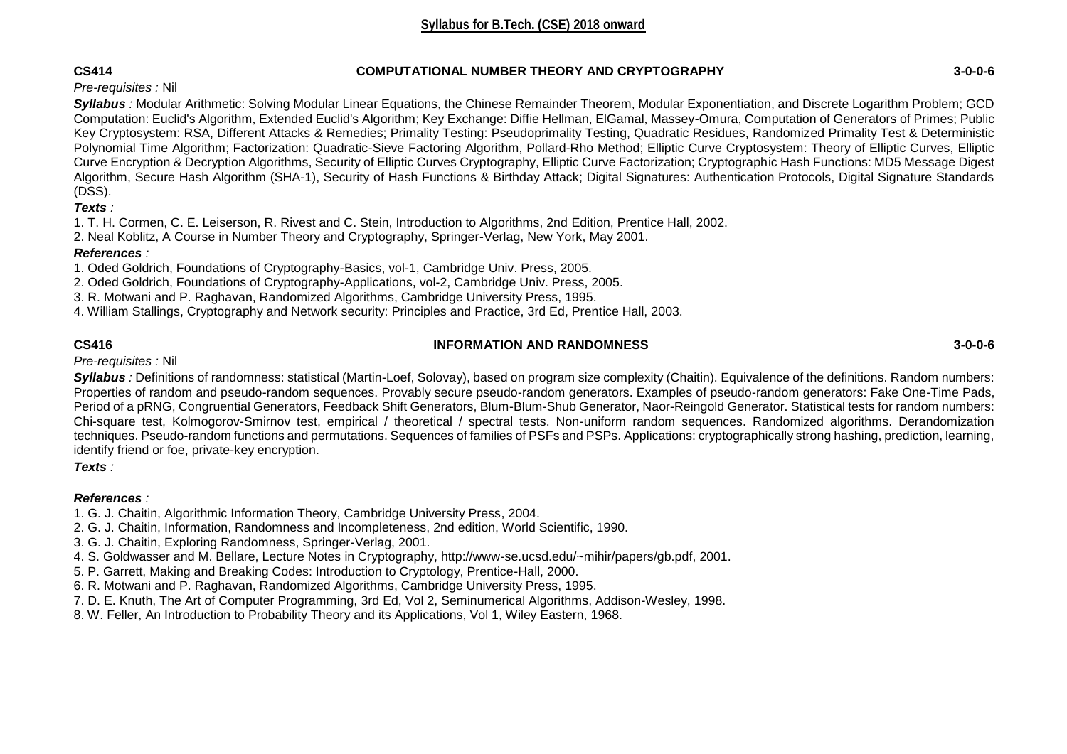### **CS414 COMPUTATIONAL NUMBER THEORY AND CRYPTOGRAPHY 3-0-0-6**

*Pre-requisites :* Nil

*Syllabus :* Modular Arithmetic: Solving Modular Linear Equations, the Chinese Remainder Theorem, Modular Exponentiation, and Discrete Logarithm Problem; GCD Computation: Euclid's Algorithm, Extended Euclid's Algorithm; Key Exchange: Diffie Hellman, ElGamal, Massey-Omura, Computation of Generators of Primes; Public Key Cryptosystem: RSA, Different Attacks & Remedies; Primality Testing: Pseudoprimality Testing, Quadratic Residues, Randomized Primality Test & Deterministic Polynomial Time Algorithm; Factorization: Quadratic-Sieve Factoring Algorithm, Pollard-Rho Method; Elliptic Curve Cryptosystem: Theory of Elliptic Curves, Elliptic Curve Encryption & Decryption Algorithms, Security of Elliptic Curves Cryptography, Elliptic Curve Factorization; Cryptographic Hash Functions: MD5 Message Digest Algorithm, Secure Hash Algorithm (SHA-1), Security of Hash Functions & Birthday Attack; Digital Signatures: Authentication Protocols, Digital Signature Standards (DSS).

*Texts :* 

1. T. H. Cormen, C. E. Leiserson, R. Rivest and C. Stein, Introduction to Algorithms, 2nd Edition, Prentice Hall, 2002.

2. Neal Koblitz, A Course in Number Theory and Cryptography, Springer-Verlag, New York, May 2001.

### *References :*

1. Oded Goldrich, Foundations of Cryptography-Basics, vol-1, Cambridge Univ. Press, 2005.

2. Oded Goldrich, Foundations of Cryptography-Applications, vol-2, Cambridge Univ. Press, 2005.

3. R. Motwani and P. Raghavan, Randomized Algorithms, Cambridge University Press, 1995.

4. William Stallings, Cryptography and Network security: Principles and Practice, 3rd Ed, Prentice Hall, 2003.

# **CS416 INFORMATION AND RANDOMNESS 3-0-0-6**

*Pre-requisites :* Nil

*Syllabus :* Definitions of randomness: statistical (Martin-Loef, Solovay), based on program size complexity (Chaitin). Equivalence of the definitions. Random numbers: Properties of random and pseudo-random sequences. Provably secure pseudo-random generators. Examples of pseudo-random generators: Fake One-Time Pads, Period of a pRNG, Congruential Generators, Feedback Shift Generators, Blum-Blum-Shub Generator, Naor-Reingold Generator. Statistical tests for random numbers: Chi-square test, Kolmogorov-Smirnov test, empirical / theoretical / spectral tests. Non-uniform random sequences. Randomized algorithms. Derandomization techniques. Pseudo-random functions and permutations. Sequences of families of PSFs and PSPs. Applications: cryptographically strong hashing, prediction, learning, identify friend or foe, private-key encryption.

*Texts :* 

# *References :*

1. G. J. Chaitin, Algorithmic Information Theory, Cambridge University Press, 2004.

2. G. J. Chaitin, Information, Randomness and Incompleteness, 2nd edition, World Scientific, 1990.

3. G. J. Chaitin, Exploring Randomness, Springer-Verlag, 2001.

4. S. Goldwasser and M. Bellare, Lecture Notes in Cryptography, http://www-se.ucsd.edu/~mihir/papers/gb.pdf, 2001.

5. P. Garrett, Making and Breaking Codes: Introduction to Cryptology, Prentice-Hall, 2000.

6. R. Motwani and P. Raghavan, Randomized Algorithms, Cambridge University Press, 1995.

7. D. E. Knuth, The Art of Computer Programming, 3rd Ed, Vol 2, Seminumerical Algorithms, Addison-Wesley, 1998.

8. W. Feller, An Introduction to Probability Theory and its Applications, Vol 1, Wiley Eastern, 1968.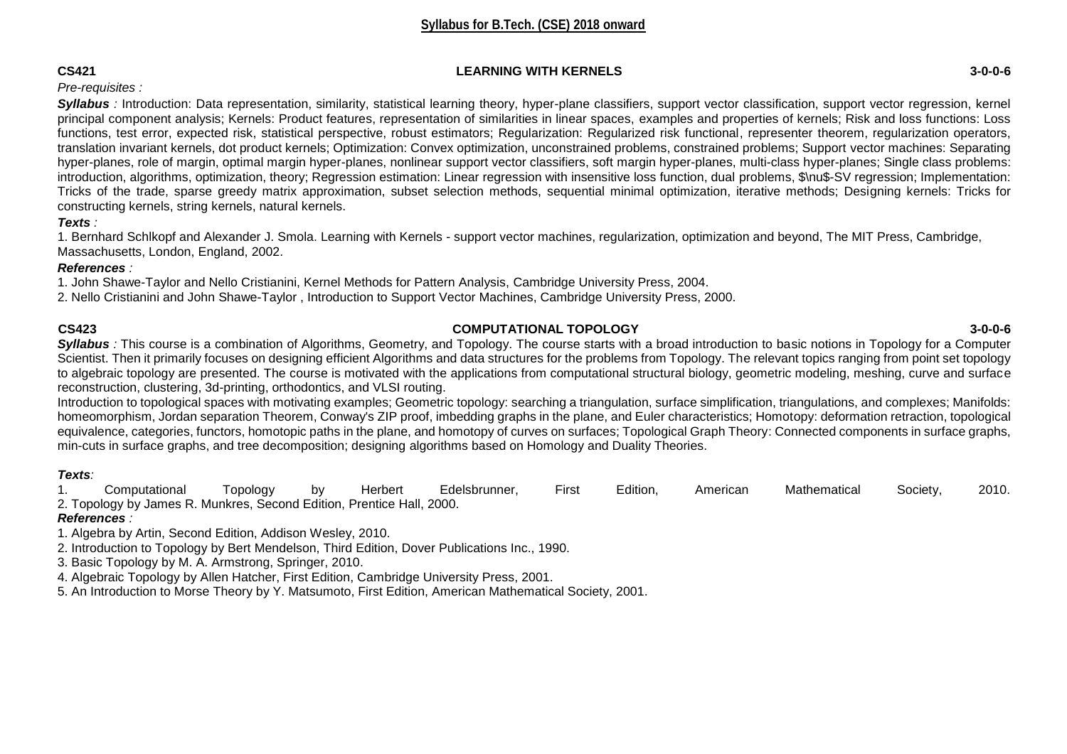### **CS421 LEARNING WITH KERNELS 3-0-0-6**

# *Pre-requisites :*

**Syllabus** *:* Introduction: Data representation, similarity, statistical learning theory, hyper-plane classifiers, support vector classification, support vector regression, kernel principal component analysis; Kernels: Product features, representation of similarities in linear spaces, examples and properties of kernels; Risk and loss functions: Loss functions, test error, expected risk, statistical perspective, robust estimators; Regularization: Regularized risk functional, representer theorem, regularization operators, translation invariant kernels, dot product kernels; Optimization: Convex optimization, unconstrained problems, constrained problems; Support vector machines: Separating hyper-planes, role of margin, optimal margin hyper-planes, nonlinear support vector classifiers, soft margin hyper-planes, multi-class hyper-planes; Single class problems: introduction, algorithms, optimization, theory; Regression estimation: Linear regression with insensitive loss function, dual problems, \$\nu\$-SV regression; Implementation: Tricks of the trade, sparse greedy matrix approximation, subset selection methods, sequential minimal optimization, iterative methods; Designing kernels: Tricks for constructing kernels, string kernels, natural kernels.

### *Texts :*

1. Bernhard Schlkopf and Alexander J. Smola. Learning with Kernels - support vector machines, regularization, optimization and beyond, The MIT Press, Cambridge, Massachusetts, London, England, 2002.

### *References :*

1. John Shawe-Taylor and Nello Cristianini, Kernel Methods for Pattern Analysis, Cambridge University Press, 2004.

2. Nello Cristianini and John Shawe-Taylor , Introduction to Support Vector Machines, Cambridge University Press, 2000.

# **CS423 COMPUTATIONAL TOPOLOGY 3-0-0-6**

**Syllabus** : This course is a combination of Algorithms, Geometry, and Topology. The course starts with a broad introduction to basic notions in Topology for a Computer Scientist. Then it primarily focuses on designing efficient Algorithms and data structures for the problems from Topology. The relevant topics ranging from point set topology to algebraic topology are presented. The course is motivated with the applications from computational structural biology, geometric modeling, meshing, curve and surface reconstruction, clustering, 3d-printing, orthodontics, and VLSI routing.

Introduction to topological spaces with motivating examples; Geometric topology: searching a triangulation, surface simplification, triangulations, and complexes; Manifolds: homeomorphism, Jordan separation Theorem, Conway's ZIP proof, imbedding graphs in the plane, and Euler characteristics; Homotopy: deformation retraction, topological equivalence, categories, functors, homotopic paths in the plane, and homotopy of curves on surfaces; Topological Graph Theory: Connected components in surface graphs, min-cuts in surface graphs, and tree decomposition; designing algorithms based on Homology and Duality Theories.

# *Texts:*

1. Computational Topology by Herbert Edelsbrunner, First Edition, American Mathematical Society, 2010. 2. Topology by James R. Munkres, Second Edition, Prentice Hall, 2000.

# *References :*

1. Algebra by Artin, Second Edition, Addison Wesley, 2010.

2. Introduction to Topology by Bert Mendelson, Third Edition, Dover Publications Inc., 1990.

3. Basic Topology by M. A. Armstrong, Springer, 2010.

4. Algebraic Topology by Allen Hatcher, First Edition, Cambridge University Press, 2001.

5. An Introduction to Morse Theory by Y. Matsumoto, First Edition, American Mathematical Society, 2001.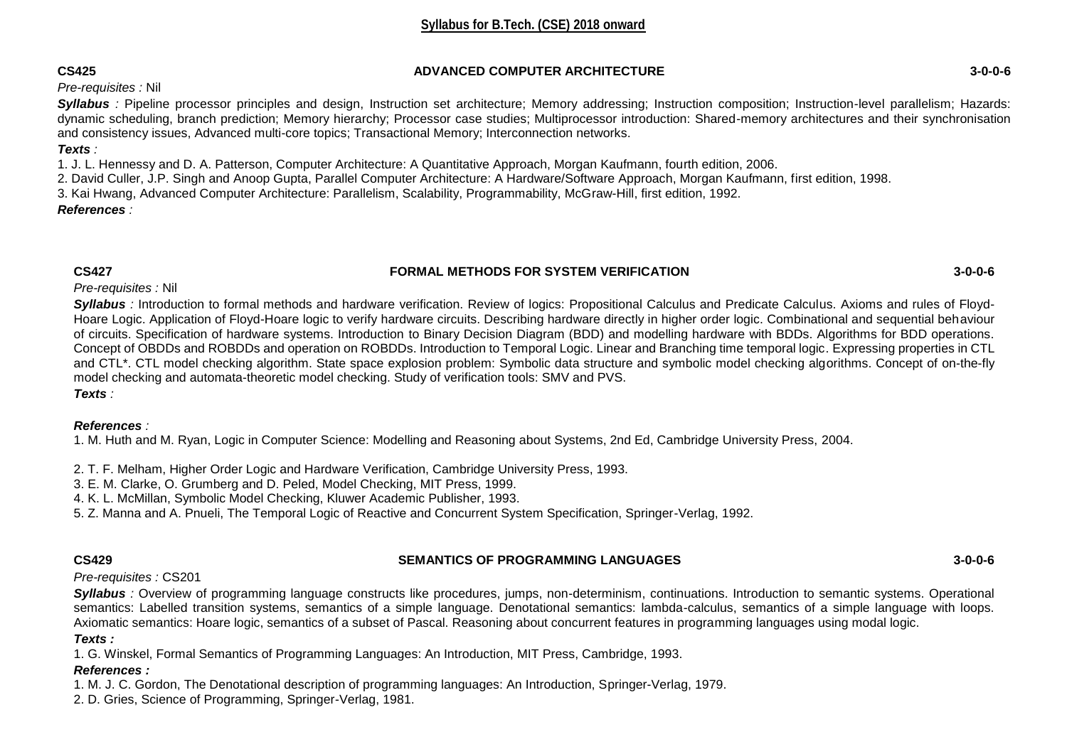### **CS425 ADVANCED COMPUTER ARCHITECTURE 3-0-0-6**

# *Pre-requisites :* Nil

**Syllabus** : Pipeline processor principles and design, Instruction set architecture; Memory addressing; Instruction composition; Instruction-level parallelism; Hazards: dynamic scheduling, branch prediction; Memory hierarchy; Processor case studies; Multiprocessor introduction: Shared-memory architectures and their synchronisation and consistency issues, Advanced multi-core topics; Transactional Memory; Interconnection networks.

# *Texts :*

1. J. L. Hennessy and D. A. Patterson, Computer Architecture: A Quantitative Approach, Morgan Kaufmann, fourth edition, 2006.

2. David Culler, J.P. Singh and Anoop Gupta, Parallel Computer Architecture: A Hardware/Software Approach, Morgan Kaufmann, first edition, 1998.

3. Kai Hwang, Advanced Computer Architecture: Parallelism, Scalability, Programmability, McGraw-Hill, first edition, 1992.

# *References :*

# **CS427 FORMAL METHODS FOR SYSTEM VERIFICATION 3-0-0-6**

*Pre-requisites :* Nil

*Syllabus :* Introduction to formal methods and hardware verification. Review of logics: Propositional Calculus and Predicate Calculus. Axioms and rules of Floyd-Hoare Logic. Application of Floyd-Hoare logic to verify hardware circuits. Describing hardware directly in higher order logic. Combinational and sequential behaviour of circuits. Specification of hardware systems. Introduction to Binary Decision Diagram (BDD) and modelling hardware with BDDs. Algorithms for BDD operations. Concept of OBDDs and ROBDDs and operation on ROBDDs. Introduction to Temporal Logic. Linear and Branching time temporal logic. Expressing properties in CTL and CTL\*. CTL model checking algorithm. State space explosion problem: Symbolic data structure and symbolic model checking algorithms. Concept of on-the-fly model checking and automata-theoretic model checking. Study of verification tools: SMV and PVS.

*Texts :* 

# *References :*

1. M. Huth and M. Ryan, Logic in Computer Science: Modelling and Reasoning about Systems, 2nd Ed, Cambridge University Press, 2004.

2. T. F. Melham, Higher Order Logic and Hardware Verification, Cambridge University Press, 1993.

3. E. M. Clarke, O. Grumberg and D. Peled, Model Checking, MIT Press, 1999.

4. K. L. McMillan, Symbolic Model Checking, Kluwer Academic Publisher, 1993.

5. Z. Manna and A. Pnueli, The Temporal Logic of Reactive and Concurrent System Specification, Springer-Verlag, 1992.

# **CS429 SEMANTICS OF PROGRAMMING LANGUAGES 3-0-0-6**

# *Pre-requisites :* CS201

**Syllabus** : Overview of programming language constructs like procedures, jumps, non-determinism, continuations. Introduction to semantic systems. Operational semantics: Labelled transition systems, semantics of a simple language. Denotational semantics: lambda-calculus, semantics of a simple language with loops. Axiomatic semantics: Hoare logic, semantics of a subset of Pascal. Reasoning about concurrent features in programming languages using modal logic.

# *Texts :*

1. G. Winskel, Formal Semantics of Programming Languages: An Introduction, MIT Press, Cambridge, 1993.

### *References :*

1. M. J. C. Gordon, The Denotational description of programming languages: An Introduction, Springer-Verlag, 1979.

2. D. Gries, Science of Programming, Springer-Verlag, 1981.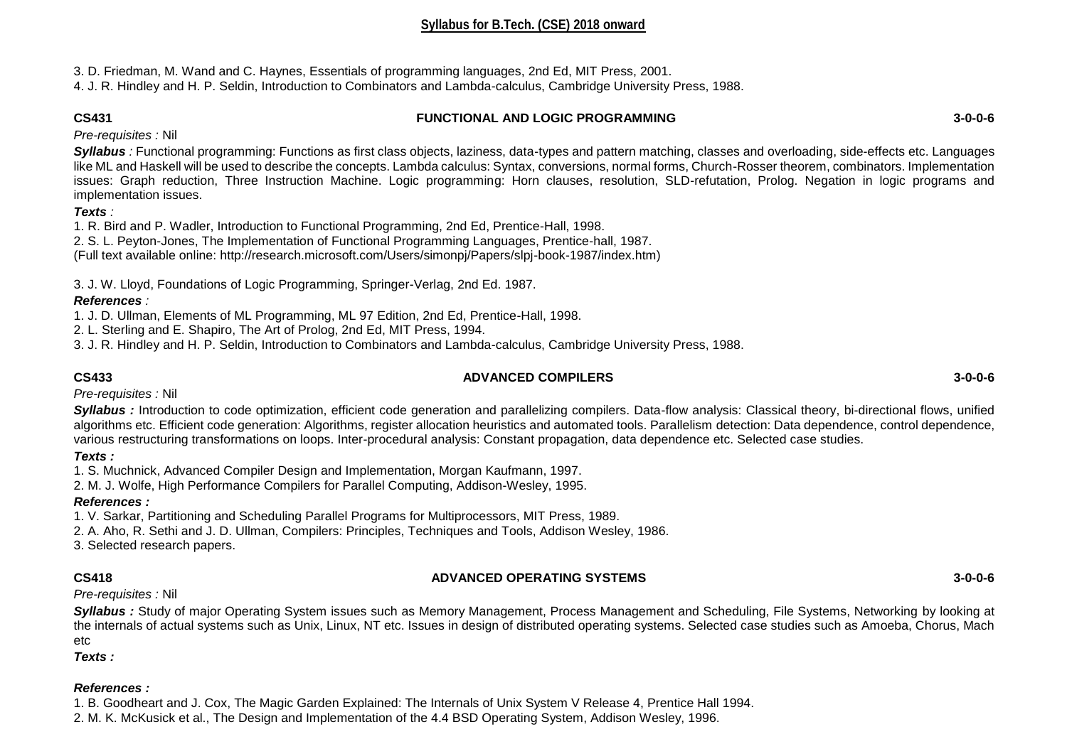3. D. Friedman, M. Wand and C. Haynes, Essentials of programming languages, 2nd Ed, MIT Press, 2001.

4. J. R. Hindley and H. P. Seldin, Introduction to Combinators and Lambda-calculus, Cambridge University Press, 1988.

# **CS431 FUNCTIONAL AND LOGIC PROGRAMMING 3-0-0-6**

*Pre-requisites :* Nil

*Syllabus :* Functional programming: Functions as first class objects, laziness, data-types and pattern matching, classes and overloading, side-effects etc. Languages like ML and Haskell will be used to describe the concepts. Lambda calculus: Syntax, conversions, normal forms, Church-Rosser theorem, combinators. Implementation issues: Graph reduction, Three Instruction Machine. Logic programming: Horn clauses, resolution, SLD-refutation, Prolog. Negation in logic programs and implementation issues.

# *Texts :*

1. R. Bird and P. Wadler, Introduction to Functional Programming, 2nd Ed, Prentice-Hall, 1998.

2. S. L. Peyton-Jones, The Implementation of Functional Programming Languages, Prentice-hall, 1987.

(Full text available online: http://research.microsoft.com/Users/simonpj/Papers/slpj-book-1987/index.htm)

3. J. W. Lloyd, Foundations of Logic Programming, Springer-Verlag, 2nd Ed. 1987.

# *References :*

1. J. D. Ullman, Elements of ML Programming, ML 97 Edition, 2nd Ed, Prentice-Hall, 1998.

2. L. Sterling and E. Shapiro, The Art of Prolog, 2nd Ed, MIT Press, 1994.

3. J. R. Hindley and H. P. Seldin, Introduction to Combinators and Lambda-calculus, Cambridge University Press, 1988.

# **CS433 ADVANCED COMPILERS 3-0-0-6**

*Pre-requisites :* Nil

*Syllabus :* Introduction to code optimization, efficient code generation and parallelizing compilers. Data-flow analysis: Classical theory, bi-directional flows, unified algorithms etc. Efficient code generation: Algorithms, register allocation heuristics and automated tools. Parallelism detection: Data dependence, control dependence, various restructuring transformations on loops. Inter-procedural analysis: Constant propagation, data dependence etc. Selected case studies.

# *Texts :*

1. S. Muchnick, Advanced Compiler Design and Implementation, Morgan Kaufmann, 1997.

2. M. J. Wolfe, High Performance Compilers for Parallel Computing, Addison-Wesley, 1995.

# *References :*

1. V. Sarkar, Partitioning and Scheduling Parallel Programs for Multiprocessors, MIT Press, 1989.

2. A. Aho, R. Sethi and J. D. Ullman, Compilers: Principles, Techniques and Tools, Addison Wesley, 1986.

3. Selected research papers.

# **CS418 ADVANCED OPERATING SYSTEMS 3-0-0-6**

*Pre-requisites :* Nil

*Syllabus :* Study of major Operating System issues such as Memory Management, Process Management and Scheduling, File Systems, Networking by looking at the internals of actual systems such as Unix, Linux, NT etc. Issues in design of distributed operating systems. Selected case studies such as Amoeba, Chorus, Mach etc

*Texts :* 

# *References :*

1. B. Goodheart and J. Cox, The Magic Garden Explained: The Internals of Unix System V Release 4, Prentice Hall 1994.

2. M. K. McKusick et al., The Design and Implementation of the 4.4 BSD Operating System, Addison Wesley, 1996.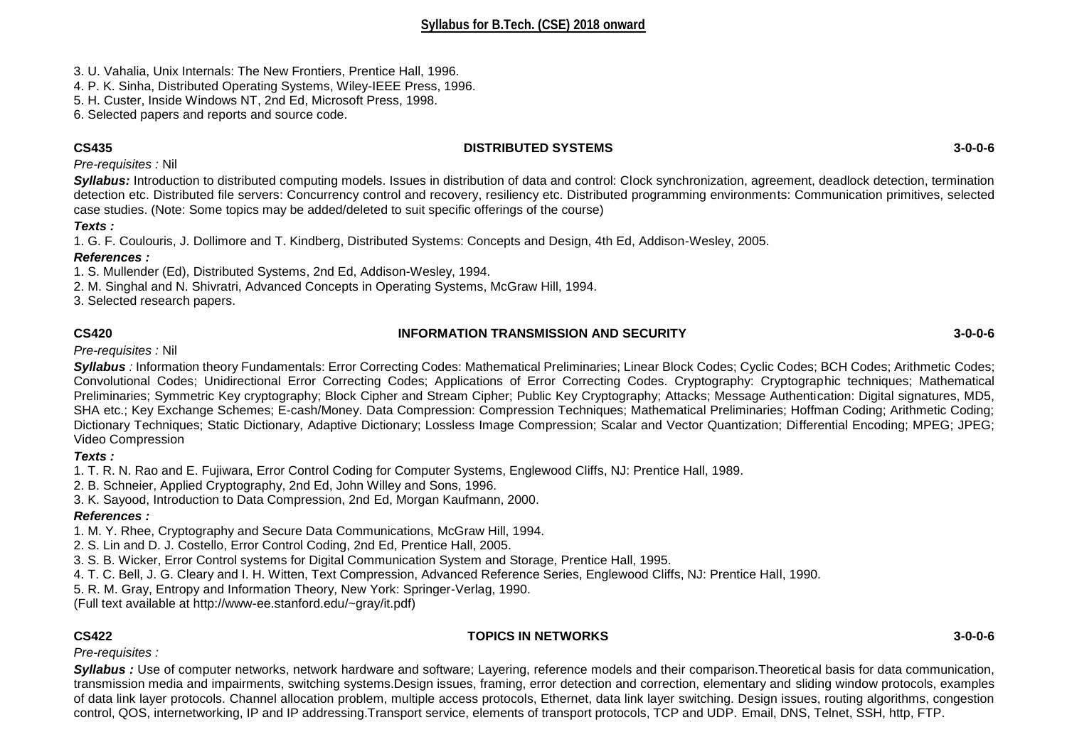3. U. Vahalia, Unix Internals: The New Frontiers, Prentice Hall, 1996.

4. P. K. Sinha, Distributed Operating Systems, Wiley-IEEE Press, 1996.

5. H. Custer, Inside Windows NT, 2nd Ed, Microsoft Press, 1998.

6. Selected papers and reports and source code.

### **CS435 DISTRIBUTED SYSTEMS 3-0-0-6**

*Pre-requisites :* Nil

*Syllabus:* Introduction to distributed computing models. Issues in distribution of data and control: Clock synchronization, agreement, deadlock detection, termination detection etc. Distributed file servers: Concurrency control and recovery, resiliency etc. Distributed programming environments: Communication primitives, selected case studies. (Note: Some topics may be added/deleted to suit specific offerings of the course)

# *Texts :*

1. G. F. Coulouris, J. Dollimore and T. Kindberg, Distributed Systems: Concepts and Design, 4th Ed, Addison-Wesley, 2005.

# *References :*

1. S. Mullender (Ed), Distributed Systems, 2nd Ed, Addison-Wesley, 1994.

2. M. Singhal and N. Shivratri, Advanced Concepts in Operating Systems, McGraw Hill, 1994.

3. Selected research papers.

# **CS420 INFORMATION TRANSMISSION AND SECURITY 3-0-0-6**

# *Pre-requisites :* Nil

*Syllabus :* Information theory Fundamentals: Error Correcting Codes: Mathematical Preliminaries; Linear Block Codes; Cyclic Codes; BCH Codes; Arithmetic Codes; Convolutional Codes; Unidirectional Error Correcting Codes; Applications of Error Correcting Codes. Cryptography: Cryptographic techniques; Mathematical Preliminaries; Symmetric Key cryptography; Block Cipher and Stream Cipher; Public Key Cryptography; Attacks; Message Authentication: Digital signatures, MD5, SHA etc.; Key Exchange Schemes; E-cash/Money. Data Compression: Compression Techniques; Mathematical Preliminaries; Hoffman Coding; Arithmetic Coding; Dictionary Techniques; Static Dictionary, Adaptive Dictionary; Lossless Image Compression; Scalar and Vector Quantization; Differential Encoding; MPEG; JPEG; Video Compression

# *Texts :*

1. T. R. N. Rao and E. Fujiwara, Error Control Coding for Computer Systems, Englewood Cliffs, NJ: Prentice Hall, 1989.

- 2. B. Schneier, Applied Cryptography, 2nd Ed, John Willey and Sons, 1996.
- 3. K. Sayood, Introduction to Data Compression, 2nd Ed, Morgan Kaufmann, 2000.

# *References :*

- 1. M. Y. Rhee, Cryptography and Secure Data Communications, McGraw Hill, 1994.
- 2. S. Lin and D. J. Costello, Error Control Coding, 2nd Ed, Prentice Hall, 2005.

3. S. B. Wicker, Error Control systems for Digital Communication System and Storage, Prentice Hall, 1995.

- 4. T. C. Bell, J. G. Cleary and I. H. Witten, Text Compression, Advanced Reference Series, Englewood Cliffs, NJ: Prentice Hall, 1990.
- 5. R. M. Gray, Entropy and Information Theory, New York: Springer-Verlag, 1990.

(Full text available at http://www-ee.stanford.edu/~gray/it.pdf)

# **CS422 TOPICS IN NETWORKS 3-0-0-6**

*Pre-requisites :* 

*Syllabus :* Use of computer networks, network hardware and software; Layering, reference models and their comparison.Theoretical basis for data communication, transmission media and impairments, switching systems.Design issues, framing, error detection and correction, elementary and sliding window protocols, examples of data link layer protocols. Channel allocation problem, multiple access protocols, Ethernet, data link layer switching. Design issues, routing algorithms, congestion control, QOS, internetworking, IP and IP addressing.Transport service, elements of transport protocols, TCP and UDP. Email, DNS, Telnet, SSH, http, FTP.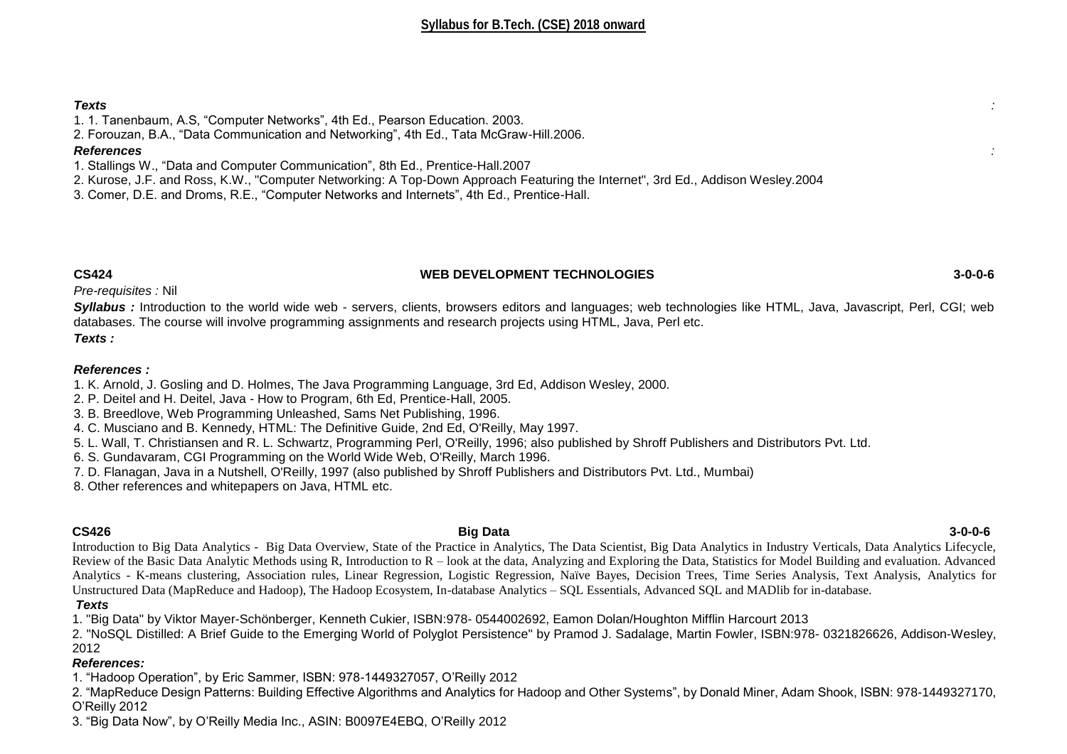### *Texts :*

- 1. 1. Tanenbaum, A.S, "Computer Networks", 4th Ed., Pearson Education. 2003.
- 2. Forouzan, B.A., "Data Communication and Networking", 4th Ed., Tata McGraw-Hill.2006.

### *References :*

- 1. Stallings W., "Data and Computer Communication", 8th Ed., Prentice-Hall.2007
- 2. Kurose, J.F. and Ross, K.W., "Computer Networking: A Top-Down Approach Featuring the Internet", 3rd Ed., Addison Wesley.2004
- 3. Comer, D.E. and Droms, R.E., "Computer Networks and Internets", 4th Ed., Prentice-Hall.

### **CS424 WEB DEVELOPMENT TECHNOLOGIES 3-0-0-6**

*Pre-requisites :* Nil

*Syllabus :* Introduction to the world wide web - servers, clients, browsers editors and languages; web technologies like HTML, Java, Javascript, Perl, CGI; web databases. The course will involve programming assignments and research projects using HTML, Java, Perl etc. *Texts :* 

### *References :*

- 1. K. Arnold, J. Gosling and D. Holmes, The Java Programming Language, 3rd Ed, Addison Wesley, 2000.
- 2. P. Deitel and H. Deitel, Java How to Program, 6th Ed, Prentice-Hall, 2005.
- 3. B. Breedlove, Web Programming Unleashed, Sams Net Publishing, 1996.
- 4. C. Musciano and B. Kennedy, HTML: The Definitive Guide, 2nd Ed, O'Reilly, May 1997.
- 5. L. Wall, T. Christiansen and R. L. Schwartz, Programming Perl, O'Reilly, 1996; also published by Shroff Publishers and Distributors Pvt. Ltd.
- 6. S. Gundavaram, CGI Programming on the World Wide Web, O'Reilly, March 1996.
- 7. D. Flanagan, Java in a Nutshell, O'Reilly, 1997 (also published by Shroff Publishers and Distributors Pvt. Ltd., Mumbai)
- 8. Other references and whitepapers on Java, HTML etc.

**CS426 Big Data 3-0-0-6** Introduction to Big Data Analytics - Big Data Overview, State of the Practice in Analytics, The Data Scientist, Big Data Analytics in Industry Verticals, Data Analytics Lifecycle, Review of the Basic Data Analytic Methods using R, Introduction to  $R -$ look at the data, Analyzing and Exploring the Data, Statistics for Model Building and evaluation. Advanced Analytics - K-means clustering, Association rules, Linear Regression, Logistic Regression, Naïve Bayes, Decision Trees, Time Series Analysis, Text Analysis, Analytics for Unstructured Data (MapReduce and Hadoop), The Hadoop Ecosystem, In-database Analytics – SQL Essentials, Advanced SQL and MADlib for in-database.

*Texts*

1. "Big Data" by Viktor Mayer-Schönberger, Kenneth Cukier, ISBN:978- 0544002692, Eamon Dolan/Houghton Mifflin Harcourt 2013

2. "NoSQL Distilled: A Brief Guide to the Emerging World of Polyglot Persistence" by Pramod J. Sadalage, Martin Fowler, ISBN:978- 0321826626, Addison-Wesley, 2012

# *References:*

1. "Hadoop Operation", by Eric Sammer, ISBN: 978-1449327057, O'Reilly 2012

2. "MapReduce Design Patterns: Building Effective Algorithms and Analytics for Hadoop and Other Systems", by Donald Miner, Adam Shook, ISBN: 978-1449327170, O'Reilly 2012

3. "Big Data Now", by O'Reilly Media Inc., ASIN: B0097E4EBQ, O'Reilly 2012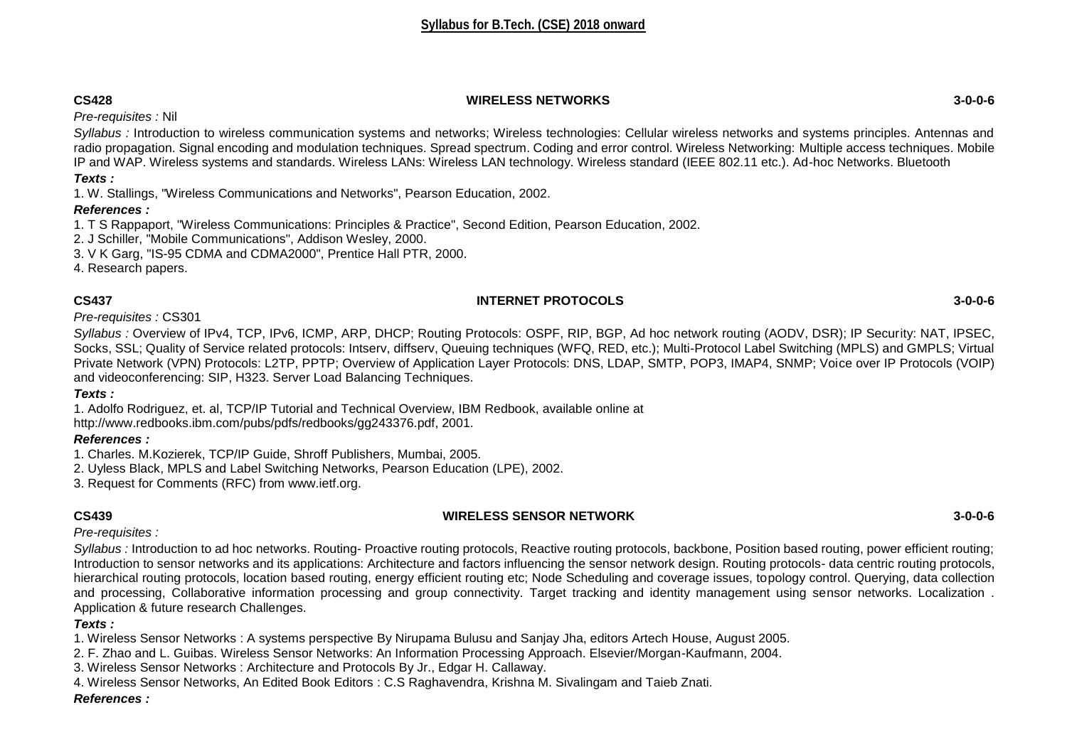# **CS428 WIRELESS NETWORKS 3-0-0-6**

*Pre-requisites :* Nil

*Syllabus :* Introduction to wireless communication systems and networks; Wireless technologies: Cellular wireless networks and systems principles. Antennas and radio propagation. Signal encoding and modulation techniques. Spread spectrum. Coding and error control. Wireless Networking: Multiple access techniques. Mobile IP and WAP. Wireless systems and standards. Wireless LANs: Wireless LAN technology. Wireless standard (IEEE 802.11 etc.). Ad-hoc Networks. Bluetooth

*Texts :*

1. W. Stallings, "Wireless Communications and Networks", Pearson Education, 2002.

# *References :*

1. T S Rappaport, "Wireless Communications: Principles & Practice", Second Edition, Pearson Education, 2002.

2. J Schiller, "Mobile Communications", Addison Wesley, 2000.

3. V K Garg, "IS-95 CDMA and CDMA2000", Prentice Hall PTR, 2000.

4. Research papers.

# **CS437 INTERNET PROTOCOLS 3-0-0-6**

*Pre-requisites :* CS301

*Syllabus :* Overview of IPv4, TCP, IPv6, ICMP, ARP, DHCP; Routing Protocols: OSPF, RIP, BGP, Ad hoc network routing (AODV, DSR); IP Security: NAT, IPSEC, Socks, SSL; Quality of Service related protocols: Intserv, diffserv, Queuing techniques (WFQ, RED, etc.); Multi-Protocol Label Switching (MPLS) and GMPLS; Virtual Private Network (VPN) Protocols: L2TP, PPTP; Overview of Application Layer Protocols: DNS, LDAP, SMTP, POP3, IMAP4, SNMP; Voice over IP Protocols (VOIP) and videoconferencing: SIP, H323. Server Load Balancing Techniques.

# *Texts :*

1. Adolfo Rodriguez, et. al, TCP/IP Tutorial and Technical Overview, IBM Redbook, available online at

http://www.redbooks.ibm.com/pubs/pdfs/redbooks/gg243376.pdf, 2001.

# *References :*

- 1. Charles. M.Kozierek, TCP/IP Guide, Shroff Publishers, Mumbai, 2005.
- 2. Uyless Black, MPLS and Label Switching Networks, Pearson Education (LPE), 2002.
- 3. Request for Comments (RFC) from www.ietf.org.

# **CS439 WIRELESS SENSOR NETWORK 3-0-0-6**

*Pre-requisites :* 

Syllabus : Introduction to ad hoc networks. Routing- Proactive routing protocols, Reactive routing protocols, backbone, Position based routing, power efficient routing; Introduction to sensor networks and its applications: Architecture and factors influencing the sensor network design. Routing protocols- data centric routing protocols, hierarchical routing protocols, location based routing, energy efficient routing etc; Node Scheduling and coverage issues, topology control. Querying, data collection and processing, Collaborative information processing and group connectivity. Target tracking and identity management using sensor networks. Localization . Application & future research Challenges.

# *Texts :*

1. Wireless Sensor Networks : A systems perspective By Nirupama Bulusu and Sanjay Jha, editors Artech House, August 2005.

- 2. F. Zhao and L. Guibas. Wireless Sensor Networks: An Information Processing Approach. Elsevier/Morgan-Kaufmann, 2004.
- 3. Wireless Sensor Networks : Architecture and Protocols By Jr., Edgar H. Callaway.
- 4. Wireless Sensor Networks, An Edited Book Editors : C.S Raghavendra, Krishna M. Sivalingam and Taieb Znati.

# *References :*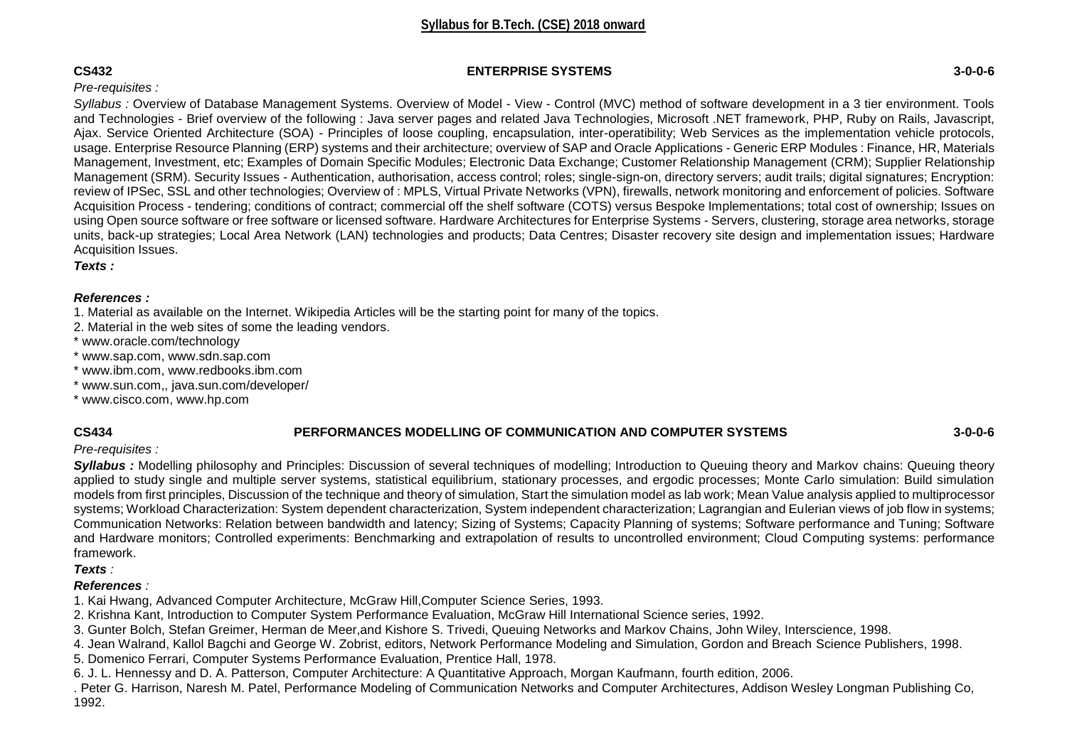### **CS432 ENTERPRISE SYSTEMS 3-0-0-6**

# *Pre-requisites :*

*Syllabus :* Overview of Database Management Systems. Overview of Model - View - Control (MVC) method of software development in a 3 tier environment. Tools and Technologies - Brief overview of the following : Java server pages and related Java Technologies, Microsoft .NET framework, PHP, Ruby on Rails, Javascript, Ajax. Service Oriented Architecture (SOA) - Principles of loose coupling, encapsulation, inter-operatibility; Web Services as the implementation vehicle protocols, usage. Enterprise Resource Planning (ERP) systems and their architecture; overview of SAP and Oracle Applications - Generic ERP Modules : Finance, HR, Materials Management, Investment, etc; Examples of Domain Specific Modules; Electronic Data Exchange; Customer Relationship Management (CRM); Supplier Relationship Management (SRM). Security Issues - Authentication, authorisation, access control; roles; single-sign-on, directory servers; audit trails; digital signatures; Encryption: review of IPSec, SSL and other technologies; Overview of : MPLS, Virtual Private Networks (VPN), firewalls, network monitoring and enforcement of policies. Software Acquisition Process - tendering; conditions of contract; commercial off the shelf software (COTS) versus Bespoke Implementations; total cost of ownership; Issues on using Open source software or free software or licensed software. Hardware Architectures for Enterprise Systems - Servers, clustering, storage area networks, storage units, back-up strategies; Local Area Network (LAN) technologies and products; Data Centres; Disaster recovery site design and implementation issues; Hardware Acquisition Issues.

*Texts :* 

# *References :*

- 1. Material as available on the Internet. Wikipedia Articles will be the starting point for many of the topics.
- 2. Material in the web sites of some the leading vendors.
- \* www.oracle.com/technology
- \* www.sap.com, www.sdn.sap.com
- \* www.ibm.com, www.redbooks.ibm.com
- \* www.sun.com,, java.sun.com/developer/
- \* www.cisco.com, www.hp.com

# **CS434 PERFORMANCES MODELLING OF COMMUNICATION AND COMPUTER SYSTEMS 3-0-0-6**

# *Pre-requisites :*

*Syllabus :* Modelling philosophy and Principles: Discussion of several techniques of modelling; Introduction to Queuing theory and Markov chains: Queuing theory applied to study single and multiple server systems, statistical equilibrium, stationary processes, and ergodic processes; Monte Carlo simulation: Build simulation models from first principles, Discussion of the technique and theory of simulation, Start the simulation model as lab work; Mean Value analysis applied to multiprocessor systems: Workload Characterization: System dependent characterization, System independent characterization; Lagrangian and Eulerian views of job flow in systems; Communication Networks: Relation between bandwidth and latency; Sizing of Systems; Capacity Planning of systems; Software performance and Tuning; Software and Hardware monitors; Controlled experiments: Benchmarking and extrapolation of results to uncontrolled environment; Cloud Computing systems: performance framework.

### *Texts :*

# *References :*

- 1. Kai Hwang, Advanced Computer Architecture, McGraw Hill,Computer Science Series, 1993.
- 2. Krishna Kant, Introduction to Computer System Performance Evaluation, McGraw Hill International Science series, 1992.
- 3. Gunter Bolch, Stefan Greimer, Herman de Meer,and Kishore S. Trivedi, Queuing Networks and Markov Chains, John Wiley, Interscience, 1998.
- 4. Jean Walrand, Kallol Bagchi and George W. Zobrist, editors, Network Performance Modeling and Simulation, Gordon and Breach Science Publishers, 1998.
- 5. Domenico Ferrari, Computer Systems Performance Evaluation, Prentice Hall, 1978.
- 6. J. L. Hennessy and D. A. Patterson, Computer Architecture: A Quantitative Approach, Morgan Kaufmann, fourth edition, 2006.
- . Peter G. Harrison, Naresh M. Patel, Performance Modeling of Communication Networks and Computer Architectures, Addison Wesley Longman Publishing Co, 1992.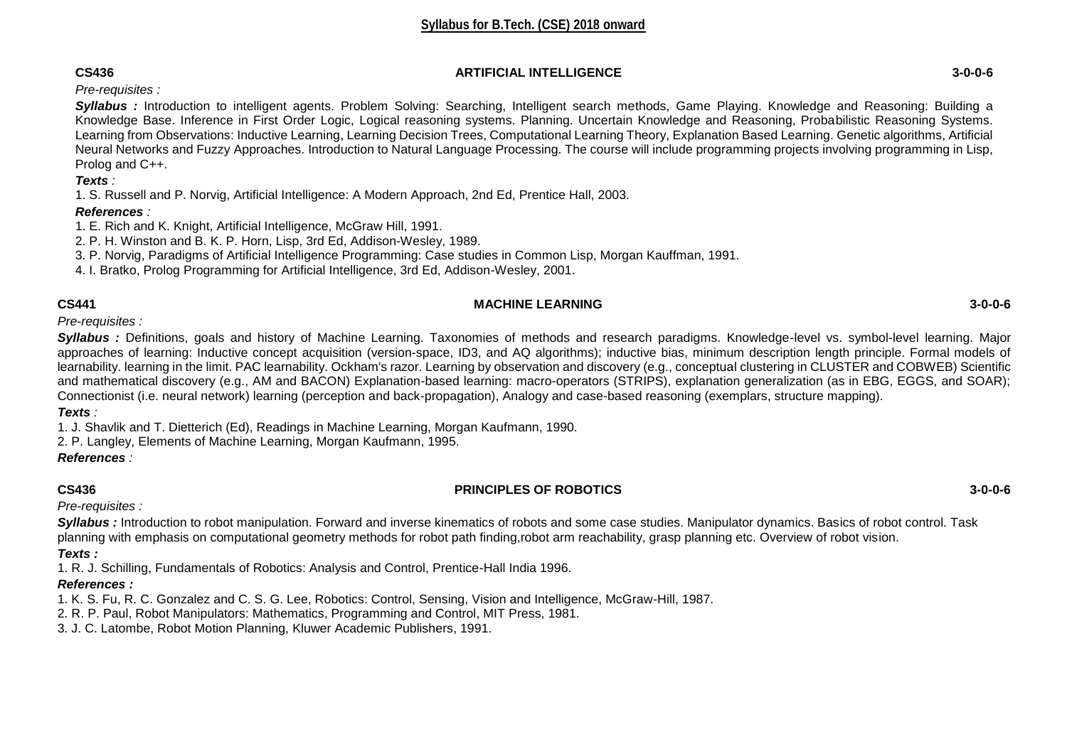### **CS436 ARTIFICIAL INTELLIGENCE 3-0-0-6**

# *Pre-requisites :*

*Syllabus :* Introduction to intelligent agents. Problem Solving: Searching, Intelligent search methods, Game Playing. Knowledge and Reasoning: Building a Knowledge Base. Inference in First Order Logic, Logical reasoning systems. Planning. Uncertain Knowledge and Reasoning, Probabilistic Reasoning Systems. Learning from Observations: Inductive Learning, Learning Decision Trees, Computational Learning Theory, Explanation Based Learning. Genetic algorithms, Artificial Neural Networks and Fuzzy Approaches. Introduction to Natural Language Processing. The course will include programming projects involving programming in Lisp, Prolog and C++.

# *Texts :*

1. S. Russell and P. Norvig, Artificial Intelligence: A Modern Approach, 2nd Ed, Prentice Hall, 2003.

# *References :*

1. E. Rich and K. Knight, Artificial Intelligence, McGraw Hill, 1991.

2. P. H. Winston and B. K. P. Horn, Lisp, 3rd Ed, Addison-Wesley, 1989.

3. P. Norvig, Paradigms of Artificial Intelligence Programming: Case studies in Common Lisp, Morgan Kauffman, 1991.

4. I. Bratko, Prolog Programming for Artificial Intelligence, 3rd Ed, Addison-Wesley, 2001.

# **CS441 MACHINE LEARNING 3-0-0-6**

*Pre-requisites :* 

*Syllabus :* Definitions, goals and history of Machine Learning. Taxonomies of methods and research paradigms. Knowledge-level vs. symbol-level learning. Major approaches of learning: Inductive concept acquisition (version-space, ID3, and AQ algorithms); inductive bias, minimum description length principle. Formal models of learnability. learning in the limit. PAC learnability. Ockham's razor. Learning by observation and discovery (e.g., conceptual clustering in CLUSTER and COBWEB) Scientific and mathematical discovery (e.g., AM and BACON) Explanation-based learning: macro-operators (STRIPS), explanation generalization (as in EBG, EGGS, and SOAR); Connectionist (i.e. neural network) learning (perception and back-propagation), Analogy and case-based reasoning (exemplars, structure mapping).

# *Texts :*

1. J. Shavlik and T. Dietterich (Ed), Readings in Machine Learning, Morgan Kaufmann, 1990.

2. P. Langley, Elements of Machine Learning, Morgan Kaufmann, 1995.

# *References :*

# **CS436 PRINCIPLES OF ROBOTICS 3-0-0-6**

*Pre-requisites :* 

*Syllabus :* Introduction to robot manipulation. Forward and inverse kinematics of robots and some case studies. Manipulator dynamics. Basics of robot control. Task planning with emphasis on computational geometry methods for robot path finding,robot arm reachability, grasp planning etc. Overview of robot vision. *Texts :*

1. R. J. Schilling, Fundamentals of Robotics: Analysis and Control, Prentice-Hall India 1996.

# *References :*

1. K. S. Fu, R. C. Gonzalez and C. S. G. Lee, Robotics: Control, Sensing, Vision and Intelligence, McGraw-Hill, 1987.

2. R. P. Paul, Robot Manipulators: Mathematics, Programming and Control, MIT Press, 1981.

3. J. C. Latombe, Robot Motion Planning, Kluwer Academic Publishers, 1991.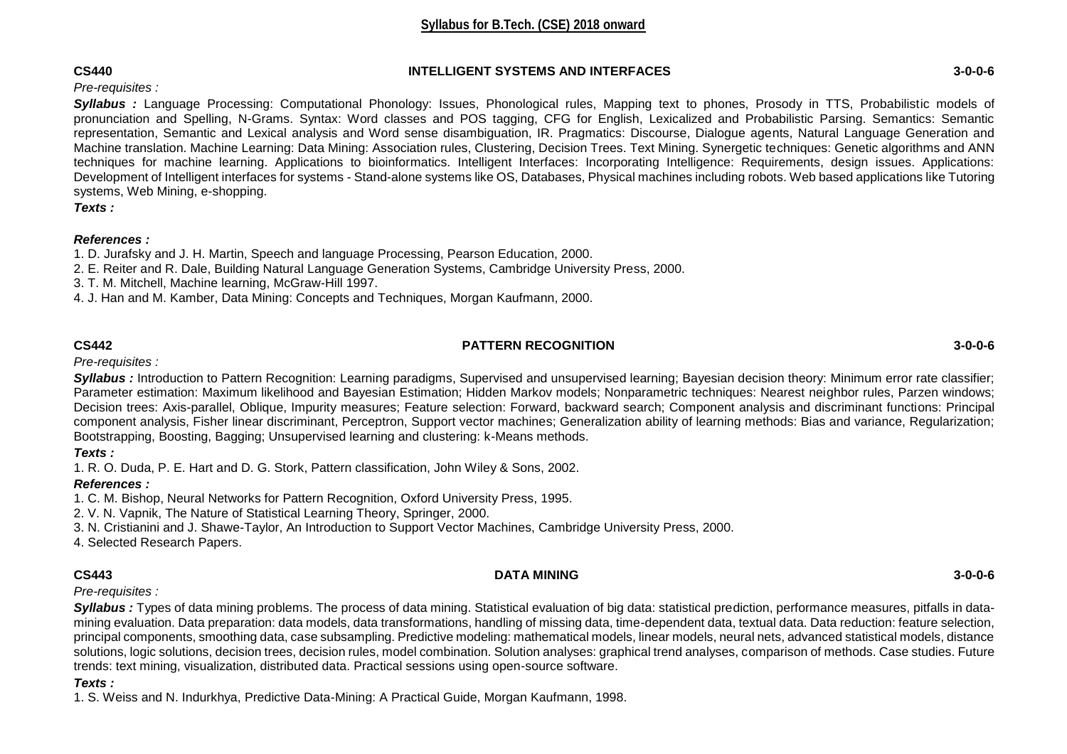### **CS440 INTELLIGENT SYSTEMS AND INTERFACES 3-0-0-6**

# *Pre-requisites :*

*Syllabus :* Language Processing: Computational Phonology: Issues, Phonological rules, Mapping text to phones, Prosody in TTS, Probabilistic models of pronunciation and Spelling, N-Grams. Syntax: Word classes and POS tagging, CFG for English, Lexicalized and Probabilistic Parsing. Semantics: Semantic representation, Semantic and Lexical analysis and Word sense disambiguation, IR. Pragmatics: Discourse, Dialogue agents, Natural Language Generation and Machine translation. Machine Learning: Data Mining: Association rules, Clustering, Decision Trees. Text Mining. Synergetic techniques: Genetic algorithms and ANN techniques for machine learning. Applications to bioinformatics. Intelligent Interfaces: Incorporating Intelligence: Requirements, design issues. Applications: Development of Intelligent interfaces for systems - Stand-alone systems like OS, Databases, Physical machines including robots. Web based applications like Tutoring systems, Web Mining, e-shopping.

*Texts :* 

### *References :*

1. D. Jurafsky and J. H. Martin, Speech and language Processing, Pearson Education, 2000.

- 2. E. Reiter and R. Dale, Building Natural Language Generation Systems, Cambridge University Press, 2000.
- 3. T. M. Mitchell, Machine learning, McGraw-Hill 1997.
- 4. J. Han and M. Kamber, Data Mining: Concepts and Techniques, Morgan Kaufmann, 2000.

# **CS442 PATTERN RECOGNITION 3-0-0-6**

*Pre-requisites :* 

**Syllabus**: Introduction to Pattern Recognition: Learning paradigms, Supervised and unsupervised learning; Bayesian decision theory: Minimum error rate classifier; Parameter estimation: Maximum likelihood and Bayesian Estimation; Hidden Markov models; Nonparametric techniques: Nearest neighbor rules, Parzen windows; Decision trees: Axis-parallel, Oblique, Impurity measures; Feature selection: Forward, backward search; Component analysis and discriminant functions: Principal component analysis, Fisher linear discriminant, Perceptron, Support vector machines; Generalization ability of learning methods: Bias and variance, Regularization; Bootstrapping, Boosting, Bagging; Unsupervised learning and clustering: k-Means methods.

*Texts :*

1. R. O. Duda, P. E. Hart and D. G. Stork, Pattern classification, John Wiley & Sons, 2002.

# *References :*

1. C. M. Bishop, Neural Networks for Pattern Recognition, Oxford University Press, 1995.

2. V. N. Vapnik, The Nature of Statistical Learning Theory, Springer, 2000.

3. N. Cristianini and J. Shawe-Taylor, An Introduction to Support Vector Machines, Cambridge University Press, 2000.

4. Selected Research Papers.

### **CS443 DATA MINING 3-0-0-6**

*Pre-requisites :* 

*Syllabus :* Types of data mining problems. The process of data mining. Statistical evaluation of big data: statistical prediction, performance measures, pitfalls in datamining evaluation. Data preparation: data models, data transformations, handling of missing data, time-dependent data, textual data. Data reduction: feature selection, principal components, smoothing data, case subsampling. Predictive modeling: mathematical models, linear models, neural nets, advanced statistical models, distance solutions, logic solutions, decision trees, decision rules, model combination. Solution analyses: graphical trend analyses, comparison of methods. Case studies. Future trends: text mining, visualization, distributed data. Practical sessions using open-source software.

# *Texts :*

1. S. Weiss and N. Indurkhya, Predictive Data-Mining: A Practical Guide, Morgan Kaufmann, 1998.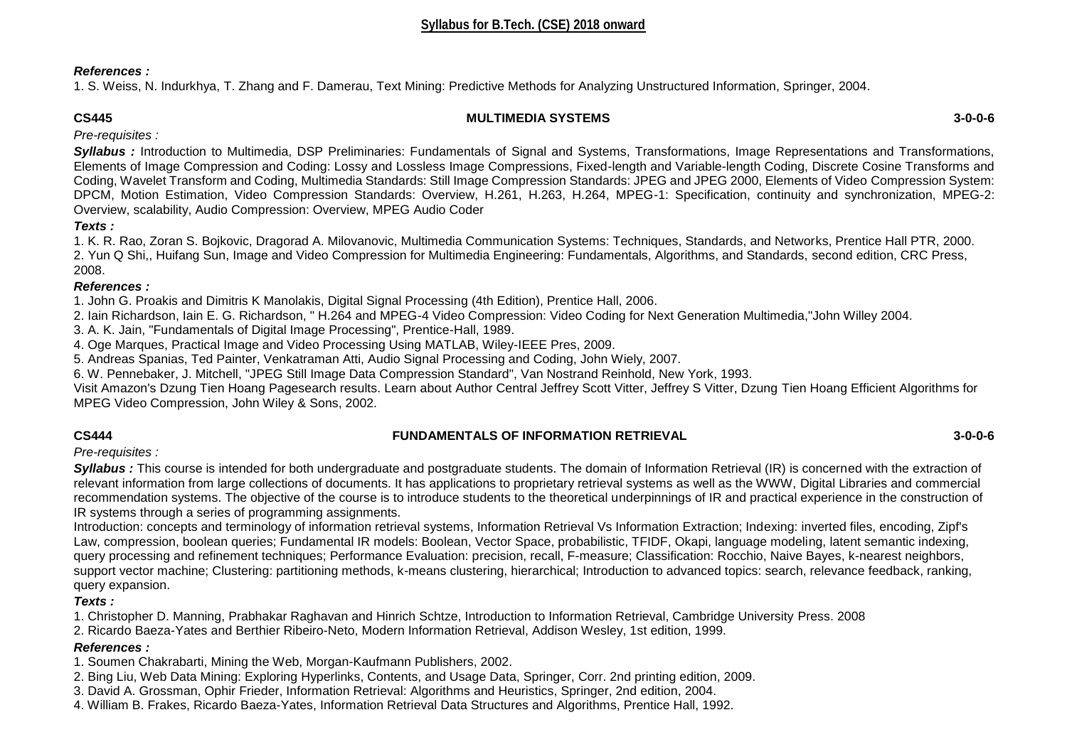### *References :*

1. S. Weiss, N. Indurkhya, T. Zhang and F. Damerau, Text Mining: Predictive Methods for Analyzing Unstructured Information, Springer, 2004.

### **CS445 MULTIMEDIA SYSTEMS 3-0-0-6**

*Pre-requisites :* 

*Syllabus :* Introduction to Multimedia, DSP Preliminaries: Fundamentals of Signal and Systems, Transformations, Image Representations and Transformations, Elements of Image Compression and Coding: Lossy and Lossless Image Compressions, Fixed-length and Variable-length Coding, Discrete Cosine Transforms and Coding, Wavelet Transform and Coding, Multimedia Standards: Still Image Compression Standards: JPEG and JPEG 2000, Elements of Video Compression System: DPCM, Motion Estimation, Video Compression Standards: Overview, H.261, H.263, H.264, MPEG-1: Specification, continuity and synchronization, MPEG-2: Overview, scalability, Audio Compression: Overview, MPEG Audio Coder

# *Texts :*

1. K. R. Rao, Zoran S. Bojkovic, Dragorad A. Milovanovic, Multimedia Communication Systems: Techniques, Standards, and Networks, Prentice Hall PTR, 2000. 2. Yun Q Shi,, Huifang Sun, Image and Video Compression for Multimedia Engineering: Fundamentals, Algorithms, and Standards, second edition, CRC Press, 2008.

### *References :*

1. John G. Proakis and Dimitris K Manolakis, Digital Signal Processing (4th Edition), Prentice Hall, 2006.

2. Iain Richardson, Iain E. G. Richardson, " H.264 and MPEG-4 Video Compression: Video Coding for Next Generation Multimedia,"John Willey 2004.

3. A. K. Jain, "Fundamentals of Digital Image Processing", Prentice-Hall, 1989.

4. Oge Marques, Practical Image and Video Processing Using MATLAB, Wiley-IEEE Pres, 2009.

5. Andreas Spanias, Ted Painter, Venkatraman Atti, Audio Signal Processing and Coding, John Wiely, 2007.

6. W. Pennebaker, J. Mitchell, "JPEG Still Image Data Compression Standard", Van Nostrand Reinhold, New York, 1993.

Visit Amazon's Dzung Tien Hoang Pagesearch results. Learn about Author Central Jeffrey Scott Vitter, Jeffrey S Vitter, Dzung Tien Hoang Efficient Algorithms for MPEG Video Compression, John Wiley & Sons, 2002.

# **CS444 FUNDAMENTALS OF INFORMATION RETRIEVAL 3-0-0-6**

*Pre-requisites :* 

**Syllabus**: This course is intended for both undergraduate and postgraduate students. The domain of Information Retrieval (IR) is concerned with the extraction of relevant information from large collections of documents. It has applications to proprietary retrieval systems as well as the WWW, Digital Libraries and commercial recommendation systems. The objective of the course is to introduce students to the theoretical underpinnings of IR and practical experience in the construction of IR systems through a series of programming assignments.

Introduction: concepts and terminology of information retrieval systems, Information Retrieval Vs Information Extraction; Indexing: inverted files, encoding, Zipf's Law, compression, boolean queries; Fundamental IR models: Boolean, Vector Space, probabilistic, TFIDF, Okapi, language modeling, latent semantic indexing, query processing and refinement techniques; Performance Evaluation: precision, recall, F-measure; Classification: Rocchio, Naive Bayes, k-nearest neighbors, support vector machine; Clustering: partitioning methods, k-means clustering, hierarchical; Introduction to advanced topics: search, relevance feedback, ranking, query expansion.

*Texts :*

1. Christopher D. Manning, Prabhakar Raghavan and Hinrich Schtze, Introduction to Information Retrieval, Cambridge University Press. 2008

2. Ricardo Baeza-Yates and Berthier Ribeiro-Neto, Modern Information Retrieval, Addison Wesley, 1st edition, 1999.

# *References :*

1. Soumen Chakrabarti, Mining the Web, Morgan-Kaufmann Publishers, 2002.

2. Bing Liu, Web Data Mining: Exploring Hyperlinks, Contents, and Usage Data, Springer, Corr. 2nd printing edition, 2009.

3. David A. Grossman, Ophir Frieder, Information Retrieval: Algorithms and Heuristics, Springer, 2nd edition, 2004.

4. William B. Frakes, Ricardo Baeza-Yates, Information Retrieval Data Structures and Algorithms, Prentice Hall, 1992.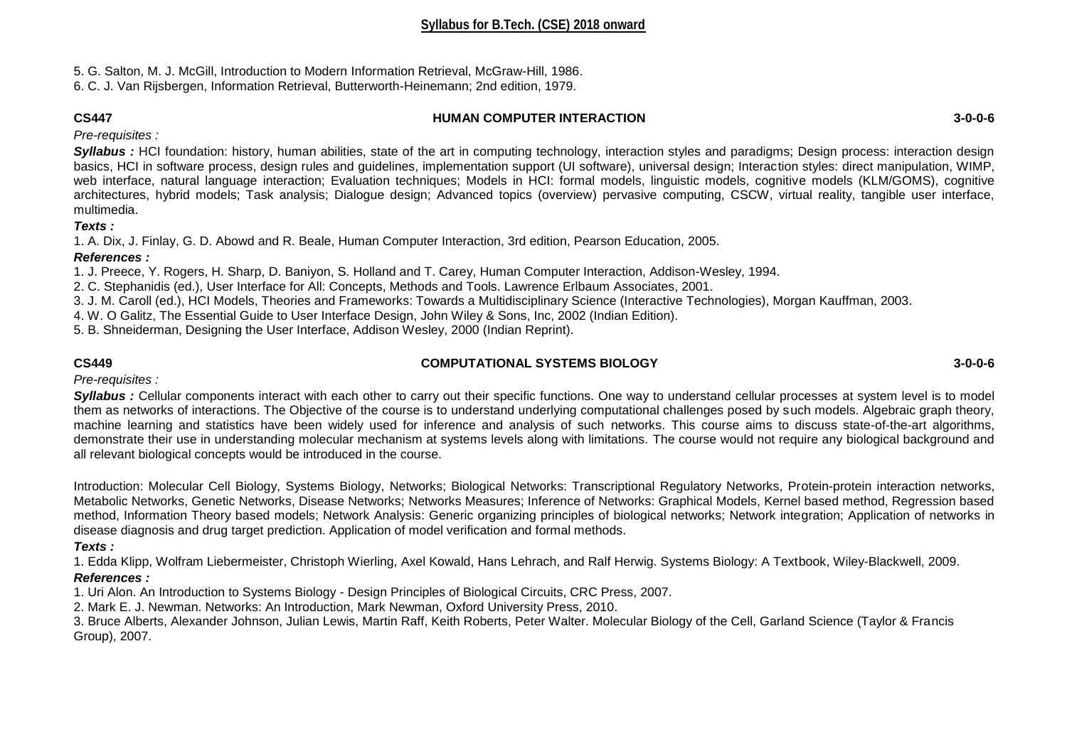5. G. Salton, M. J. McGill, Introduction to Modern Information Retrieval, McGraw-Hill, 1986.

6. C. J. Van Rijsbergen, Information Retrieval, Butterworth-Heinemann; 2nd edition, 1979.

# **CS447 HUMAN COMPUTER INTERACTION 3-0-0-6**

*Pre-requisites :* 

**Syllabus**: HCI foundation: history, human abilities, state of the art in computing technology, interaction styles and paradigms; Design process: interaction design basics, HCI in software process, design rules and guidelines, implementation support (UI software), universal design; Interaction styles: direct manipulation, WIMP, web interface, natural language interaction; Evaluation techniques; Models in HCI: formal models, linguistic models, cognitive models (KLM/GOMS), cognitive architectures, hybrid models; Task analysis; Dialogue design; Advanced topics (overview) pervasive computing, CSCW, virtual reality, tangible user interface, multimedia.

# *Texts :*

1. A. Dix, J. Finlay, G. D. Abowd and R. Beale, Human Computer Interaction, 3rd edition, Pearson Education, 2005.

# *References :*

1. J. Preece, Y. Rogers, H. Sharp, D. Baniyon, S. Holland and T. Carey, Human Computer Interaction, Addison-Wesley, 1994.

2. C. Stephanidis (ed.), User Interface for All: Concepts, Methods and Tools. Lawrence Erlbaum Associates, 2001.

3. J. M. Caroll (ed.), HCI Models, Theories and Frameworks: Towards a Multidisciplinary Science (Interactive Technologies), Morgan Kauffman, 2003.

4. W. O Galitz, The Essential Guide to User Interface Design, John Wiley & Sons, Inc, 2002 (Indian Edition).

5. B. Shneiderman, Designing the User Interface, Addison Wesley, 2000 (Indian Reprint).

# **CS449 COMPUTATIONAL SYSTEMS BIOLOGY 3-0-0-6**

*Pre-requisites :* 

*Syllabus :* Cellular components interact with each other to carry out their specific functions. One way to understand cellular processes at system level is to model them as networks of interactions. The Objective of the course is to understand underlying computational challenges posed by such models. Algebraic graph theory, machine learning and statistics have been widely used for inference and analysis of such networks. This course aims to discuss state-of-the-art algorithms, demonstrate their use in understanding molecular mechanism at systems levels along with limitations. The course would not require any biological background and all relevant biological concepts would be introduced in the course.

Introduction: Molecular Cell Biology, Systems Biology, Networks; Biological Networks: Transcriptional Regulatory Networks, Protein-protein interaction networks, Metabolic Networks, Genetic Networks, Disease Networks; Networks Measures; Inference of Networks: Graphical Models, Kernel based method, Regression based method, Information Theory based models; Network Analysis: Generic organizing principles of biological networks; Network integration; Application of networks in disease diagnosis and drug target prediction. Application of model verification and formal methods.

# *Texts :*

1. Edda Klipp, Wolfram Liebermeister, Christoph Wierling, Axel Kowald, Hans Lehrach, and Ralf Herwig. Systems Biology: A Textbook, Wiley-Blackwell, 2009.

# *References :*

1. Uri Alon. An Introduction to Systems Biology - Design Principles of Biological Circuits, CRC Press, 2007.

2. Mark E. J. Newman. Networks: An Introduction, Mark Newman, Oxford University Press, 2010.

3. Bruce Alberts, Alexander Johnson, Julian Lewis, Martin Raff, Keith Roberts, Peter Walter. Molecular Biology of the Cell, Garland Science (Taylor & Francis Group), 2007.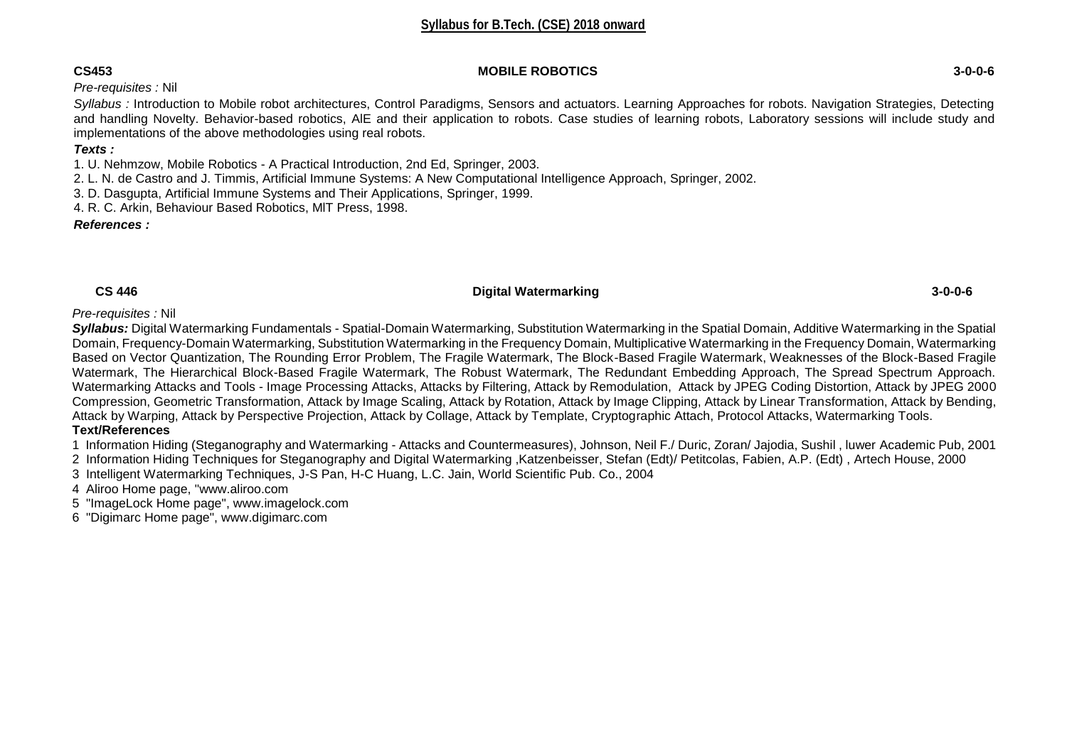### **CS453 MOBILE ROBOTICS 3-0-0-6**

*Pre-requisites :* Nil

*Syllabus :* Introduction to Mobile robot architectures, Control Paradigms, Sensors and actuators. Learning Approaches for robots. Navigation Strategies, Detecting and handling Novelty. Behavior-based robotics, AlE and their application to robots. Case studies of learning robots, Laboratory sessions will include study and implementations of the above methodologies using real robots.

# *Texts :*

1. U. Nehmzow, Mobile Robotics - A Practical Introduction, 2nd Ed, Springer, 2003.

2. L. N. de Castro and J. Timmis, Artificial Immune Systems: A New Computational Intelligence Approach, Springer, 2002.

3. D. Dasgupta, Artificial Immune Systems and Their Applications, Springer, 1999.

4. R. C. Arkin, Behaviour Based Robotics, MlT Press, 1998.

*References :* 

### **CS 446 Digital Watermarking 3-0-0-6**

*Pre-requisites :* Nil

*Syllabus:* Digital Watermarking Fundamentals - Spatial-Domain Watermarking, Substitution Watermarking in the Spatial Domain, Additive Watermarking in the Spatial Domain, Frequency-Domain Watermarking, Substitution Watermarking in the Frequency Domain, Multiplicative Watermarking in the Frequency Domain, Watermarking Based on Vector Quantization, The Rounding Error Problem, The Fragile Watermark, The Block-Based Fragile Watermark, Weaknesses of the Block-Based Fragile Watermark, The Hierarchical Block-Based Fragile Watermark, The Robust Watermark, The Redundant Embedding Approach, The Spread Spectrum Approach. Watermarking Attacks and Tools - Image Processing Attacks, Attacks by Filtering, Attack by Remodulation, Attack by JPEG Coding Distortion, Attack by JPEG 2000 Compression, Geometric Transformation, Attack by Image Scaling, Attack by Rotation, Attack by Image Clipping, Attack by Linear Transformation, Attack by Bending, Attack by Warping, Attack by Perspective Projection, Attack by Collage, Attack by Template, Cryptographic Attach, Protocol Attacks, Watermarking Tools.

### **Text/References**

1 Information Hiding (Steganography and Watermarking - Attacks and Countermeasures), Johnson, Neil F./ Duric, Zoran/ Jajodia, Sushil , luwer Academic Pub, 2001

2 Information Hiding Techniques for Steganography and Digital Watermarking ,Katzenbeisser, Stefan (Edt)/ Petitcolas, Fabien, A.P. (Edt) , Artech House, 2000

3 Intelligent Watermarking Techniques, J-S Pan, H-C Huang, L.C. Jain, World Scientific Pub. Co., 2004

4 Aliroo Home page, "www.aliroo.com

5 "ImageLock Home page", www.imagelock.com

6 "Digimarc Home page", www.digimarc.com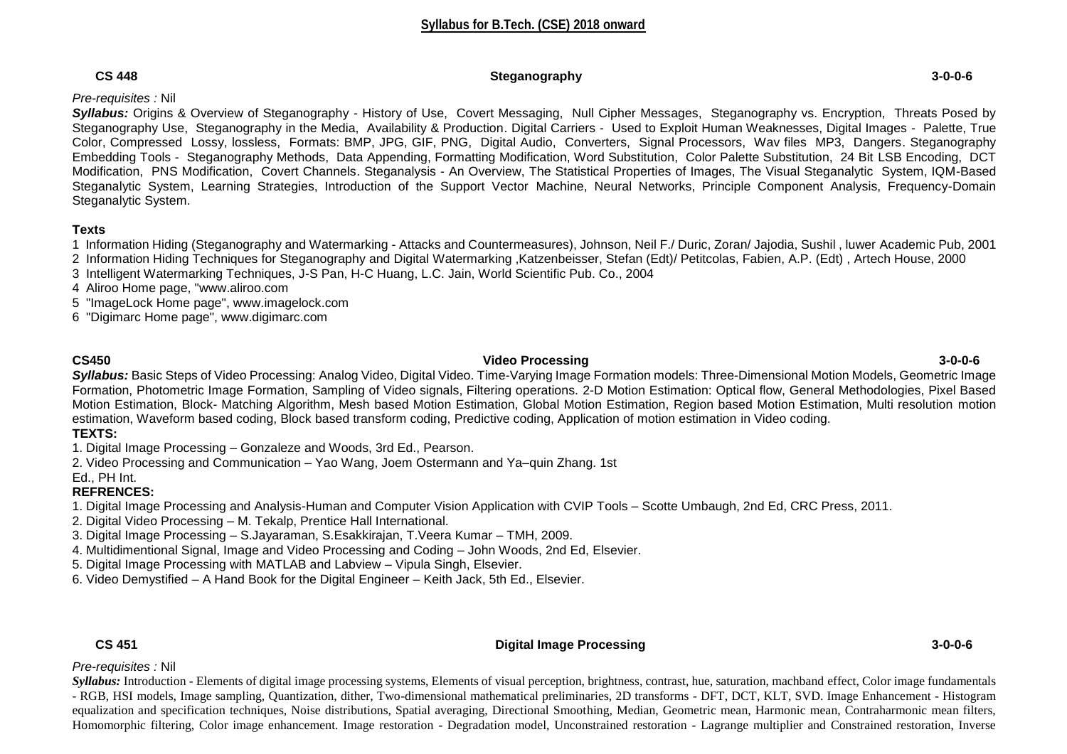### **CS 448 Steganography 3-0-0-6**

# *Pre-requisites :* Nil

**Syllabus:** Origins & Overview of Steganography - History of Use, Covert Messaging, Null Cipher Messages, Steganography vs. Encryption, Threats Posed by Steganography Use, Steganography in the Media, Availability & Production. Digital Carriers - Used to Exploit Human Weaknesses, Digital Images - Palette, True Color, Compressed Lossy, lossless, Formats: BMP, JPG, GIF, PNG, Digital Audio, Converters, Signal Processors, Wav files MP3, Dangers. Steganography Embedding Tools - Steganography Methods, Data Appending, Formatting Modification, Word Substitution, Color Palette Substitution, 24 Bit LSB Encoding, DCT Modification, PNS Modification, Covert Channels. Steganalysis - An Overview, The Statistical Properties of Images, The Visual Steganalytic System, IQM-Based Steganalytic System, Learning Strategies, Introduction of the Support Vector Machine, Neural Networks, Principle Component Analysis, Frequency-Domain Steganalytic System.

# **Texts**

1 Information Hiding (Steganography and Watermarking - Attacks and Countermeasures), Johnson, Neil F./ Duric, Zoran/ Jajodia, Sushil , luwer Academic Pub, 2001

- 2 Information Hiding Techniques for Steganography and Digital Watermarking ,Katzenbeisser, Stefan (Edt)/ Petitcolas, Fabien, A.P. (Edt) , Artech House, 2000
- 3 Intelligent Watermarking Techniques, J-S Pan, H-C Huang, L.C. Jain, World Scientific Pub. Co., 2004
- 4 Aliroo Home page, "www.aliroo.com
- 5 "ImageLock Home page", www.imagelock.com
- 6 "Digimarc Home page", www.digimarc.com

### **CS450 Video Processing 3-0-0-6** *Syllabus:* Basic Steps of Video Processing: Analog Video, Digital Video. Time-Varying Image Formation models: Three-Dimensional Motion Models, Geometric Image Formation, Photometric Image Formation, Sampling of Video signals, Filtering operations. 2-D Motion Estimation: Optical flow, General Methodologies, Pixel Based Motion Estimation, Block- Matching Algorithm, Mesh based Motion Estimation, Global Motion Estimation, Region based Motion Estimation, Multi resolution motion estimation, Waveform based coding, Block based transform coding, Predictive coding, Application of motion estimation in Video coding.

# **TEXTS:**

- 1. Digital Image Processing Gonzaleze and Woods, 3rd Ed., Pearson.
- 2. Video Processing and Communication Yao Wang, Joem Ostermann and Ya–quin Zhang. 1st

#### Ed., PH Int.

# **REFRENCES:**

1. Digital Image Processing and Analysis-Human and Computer Vision Application with CVIP Tools – Scotte Umbaugh, 2nd Ed, CRC Press, 2011.

- 2. Digital Video Processing M. Tekalp, Prentice Hall International.
- 3. Digital Image Processing S.Jayaraman, S.Esakkirajan, T.Veera Kumar TMH, 2009.
- 4. Multidimentional Signal, Image and Video Processing and Coding John Woods, 2nd Ed, Elsevier.
- 5. Digital Image Processing with MATLAB and Labview Vipula Singh, Elsevier.
- 6. Video Demystified A Hand Book for the Digital Engineer Keith Jack, 5th Ed., Elsevier.

### **CS 451 Digital Image Processing 3-0-0-6**

### *Pre-requisites :* Nil

*Syllabus:* Introduction - Elements of digital image processing systems, Elements of visual perception, brightness, contrast, hue, saturation, machband effect, Color image fundamentals - RGB, HSI models, Image sampling, Quantization, dither, Two-dimensional mathematical preliminaries, 2D transforms - DFT, DCT, KLT, SVD. Image Enhancement - Histogram equalization and specification techniques, Noise distributions, Spatial averaging, Directional Smoothing, Median, Geometric mean, Harmonic mean, Contraharmonic mean filters, Homomorphic filtering, Color image enhancement. Image restoration - Degradation model, Unconstrained restoration - Lagrange multiplier and Constrained restoration, Inverse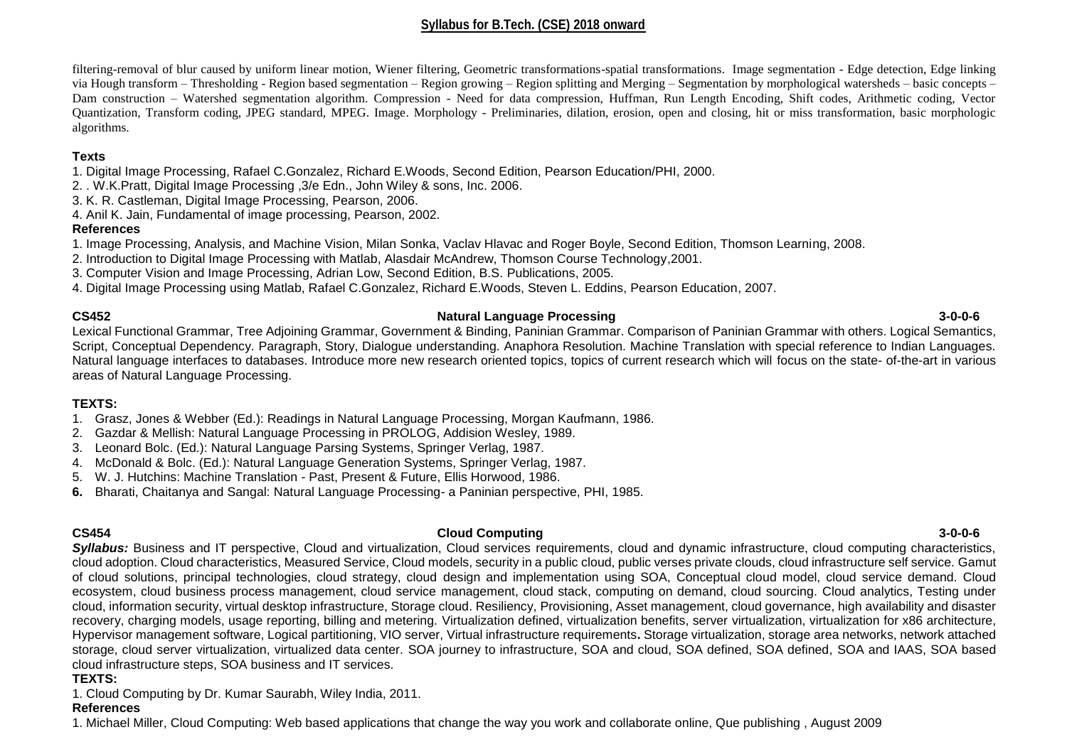filtering-removal of blur caused by uniform linear motion, Wiener filtering, Geometric transformations-spatial transformations. Image segmentation - Edge detection, Edge linking via Hough transform – Thresholding - Region based segmentation – Region growing – Region splitting and Merging – Segmentation by morphological watersheds – basic concepts – Dam construction – Watershed segmentation algorithm. Compression - Need for data compression, Huffman, Run Length Encoding, Shift codes, Arithmetic coding, Vector Quantization, Transform coding, JPEG standard, MPEG. Image. Morphology - Preliminaries, dilation, erosion, open and closing, hit or miss transformation, basic morphologic algorithms.

# **Texts**

1. Digital Image Processing, Rafael C.Gonzalez, Richard E.Woods, Second Edition, Pearson Education/PHI, 2000.

2. . W.K.Pratt, Digital Image Processing ,3/e Edn., John Wiley & sons, Inc. 2006.

3. K. R. Castleman, Digital Image Processing, Pearson, 2006.

4. Anil K. Jain, Fundamental of image processing, Pearson, 2002.

# **References**

1. Image Processing, Analysis, and Machine Vision, Milan Sonka, Vaclav Hlavac and Roger Boyle, Second Edition, Thomson Learning, 2008.

2. Introduction to Digital Image Processing with Matlab, Alasdair McAndrew, Thomson Course Technology,2001.

3. Computer Vision and Image Processing, Adrian Low, Second Edition, B.S. Publications, 2005.

4. Digital Image Processing using Matlab, Rafael C.Gonzalez, Richard E.Woods, Steven L. Eddins, Pearson Education, 2007.

### **CS452 Natural Language Processing 3-0-0-6**

Lexical Functional Grammar, Tree Adjoining Grammar, Government & Binding, Paninian Grammar. Comparison of Paninian Grammar with others. Logical Semantics, Script, Conceptual Dependency. Paragraph, Story, Dialogue understanding. Anaphora Resolution. Machine Translation with special reference to Indian Languages. Natural language interfaces to databases. Introduce more new research oriented topics, topics of current research which will focus on the state- of-the-art in various areas of Natural Language Processing.

# **TEXTS:**

- 1. Grasz, Jones & Webber (Ed.): Readings in Natural Language Processing, Morgan Kaufmann, 1986.
- 2. Gazdar & Mellish: Natural Language Processing in PROLOG, Addision Wesley, 1989.
- 3. Leonard Bolc. (Ed.): Natural Language Parsing Systems, Springer Verlag, 1987.
- 4. McDonald & Bolc. (Ed.): Natural Language Generation Systems, Springer Verlag, 1987.
- 5. W. J. Hutchins: Machine Translation Past, Present & Future, Ellis Horwood, 1986.
- **6.** Bharati, Chaitanya and Sangal: Natural Language Processing- a Paninian perspective, PHI, 1985.

#### **CS454 Cloud Computing 3-0-0-6** *Syllabus:* Business and IT perspective, Cloud and virtualization, Cloud services requirements, cloud and dynamic infrastructure, cloud computing characteristics, cloud adoption. Cloud characteristics, Measured Service, Cloud models, security in a public cloud, public verses private clouds, cloud infrastructure self service. Gamut of cloud solutions, principal technologies, cloud strategy, cloud design and implementation using SOA, Conceptual cloud model, cloud service demand. Cloud ecosystem, cloud business process management, cloud service management, cloud stack, computing on demand, cloud sourcing. Cloud analytics, Testing under cloud, information security, virtual desktop infrastructure, Storage cloud. Resiliency, Provisioning, Asset management, cloud governance, high availability and disaster recovery, charging models, usage reporting, billing and metering. Virtualization defined, virtualization benefits, server virtualization, virtualization for x86 architecture, Hypervisor management software, Logical partitioning, VIO server, Virtual infrastructure requirements**.** Storage virtualization, storage area networks, network attached storage, cloud server virtualization, virtualized data center. SOA journey to infrastructure, SOA and cloud, SOA defined, SOA defined, SOA and IAAS, SOA based cloud infrastructure steps, SOA business and IT services.

# **TEXTS:**

1. Cloud Computing by Dr. Kumar Saurabh, Wiley India, 2011.

# **References**

1. Michael Miller, Cloud Computing: Web based applications that change the way you work and collaborate online, Que publishing , August 2009